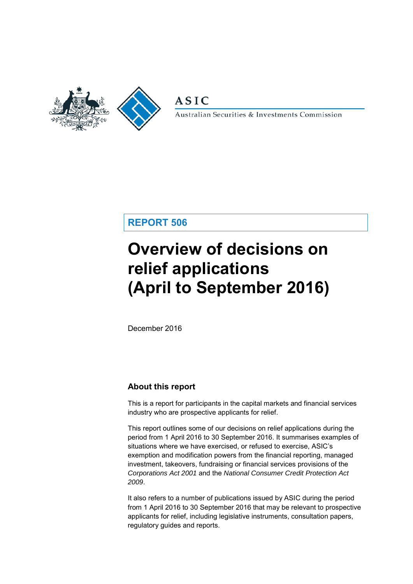

**ASIC** 

Australian Securities & Investments Commission

# **REPORT 506**

# **Overview of decisions on relief applications (April to September 2016)**

December 2016

# **About this report**

This is a report for participants in the capital markets and financial services industry who are prospective applicants for relief.

This report outlines some of our decisions on relief applications during the period from 1 April 2016 to 30 September 2016. It summarises examples of situations where we have exercised, or refused to exercise, ASIC's exemption and modification powers from the financial reporting, managed investment, takeovers, fundraising or financial services provisions of the *Corporations Act 2001* and the *National Consumer Credit Protection Act 2009*.

It also refers to a number of publications issued by ASIC during the period from 1 April 2016 to 30 September 2016 that may be relevant to prospective applicants for relief, including legislative instruments, consultation papers, regulatory guides and reports.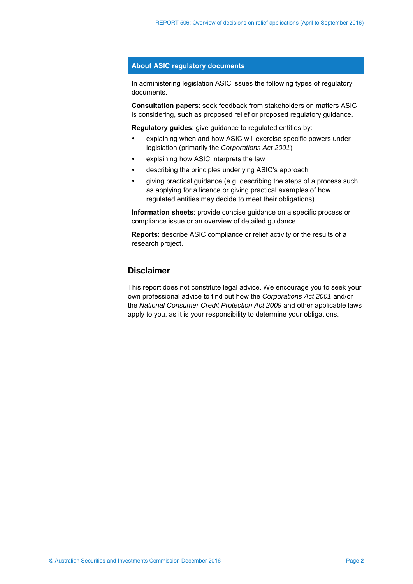#### **About ASIC regulatory documents**

In administering legislation ASIC issues the following types of regulatory documents.

**Consultation papers**: seek feedback from stakeholders on matters ASIC is considering, such as proposed relief or proposed regulatory guidance.

**Regulatory guides**: give guidance to regulated entities by:

- explaining when and how ASIC will exercise specific powers under legislation (primarily the *Corporations Act 2001*)
- explaining how ASIC interprets the law
- describing the principles underlying ASIC's approach
- giving practical guidance (e.g. describing the steps of a process such as applying for a licence or giving practical examples of how regulated entities may decide to meet their obligations).

**Information sheets**: provide concise guidance on a specific process or compliance issue or an overview of detailed guidance.

**Reports**: describe ASIC compliance or relief activity or the results of a research project.

# **Disclaimer**

This report does not constitute legal advice. We encourage you to seek your own professional advice to find out how the *Corporations Act 2001* and/or the *National Consumer Credit Protection Act 2009* and other applicable laws apply to you, as it is your responsibility to determine your obligations.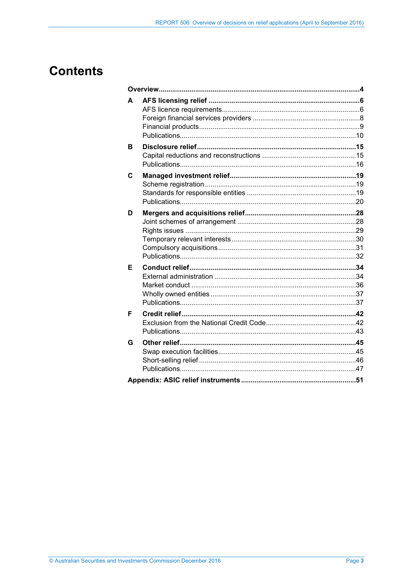# **Contents**

| A |  |  |  |  |  |
|---|--|--|--|--|--|
| в |  |  |  |  |  |
| C |  |  |  |  |  |
| D |  |  |  |  |  |
| Е |  |  |  |  |  |
| F |  |  |  |  |  |
| G |  |  |  |  |  |
|   |  |  |  |  |  |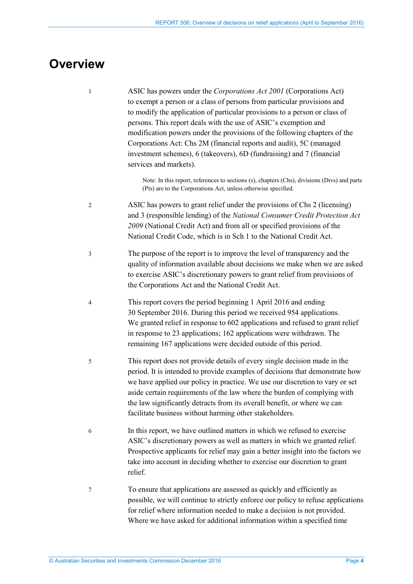# <span id="page-3-0"></span>**Overview**

1 ASIC has powers under the *Corporations Act 2001* (Corporations Act) to exempt a person or a class of persons from particular provisions and to modify the application of particular provisions to a person or class of persons. This report deals with the use of ASIC's exemption and modification powers under the provisions of the following chapters of the Corporations Act: Chs 2M (financial reports and audit), 5C (managed investment schemes), 6 (takeovers), 6D (fundraising) and 7 (financial services and markets).

> Note: In this report, references to sections (s), chapters (Chs), divisions (Divs) and parts (Pts) are to the Corporations Act, unless otherwise specified.

- 2 ASIC has powers to grant relief under the provisions of Chs 2 (licensing) and 3 (responsible lending) of the *National Consumer Credit Protection Act 2009* (National Credit Act) and from all or specified provisions of the National Credit Code, which is in Sch 1 to the National Credit Act.
- 3 The purpose of the report is to improve the level of transparency and the quality of information available about decisions we make when we are asked to exercise ASIC's discretionary powers to grant relief from provisions of the Corporations Act and the National Credit Act.
- 4 This report covers the period beginning 1 April 2016 and ending 30 September 2016. During this period we received 954 applications. We granted relief in response to 602 applications and refused to grant relief in response to 23 applications; 162 applications were withdrawn. The remaining 167 applications were decided outside of this period.
- 5 This report does not provide details of every single decision made in the period. It is intended to provide examples of decisions that demonstrate how we have applied our policy in practice. We use our discretion to vary or set aside certain requirements of the law where the burden of complying with the law significantly detracts from its overall benefit, or where we can facilitate business without harming other stakeholders.
- 6 In this report, we have outlined matters in which we refused to exercise ASIC's discretionary powers as well as matters in which we granted relief. Prospective applicants for relief may gain a better insight into the factors we take into account in deciding whether to exercise our discretion to grant relief.
- 7 To ensure that applications are assessed as quickly and efficiently as possible, we will continue to strictly enforce our policy to refuse applications for relief where information needed to make a decision is not provided. Where we have asked for additional information within a specified time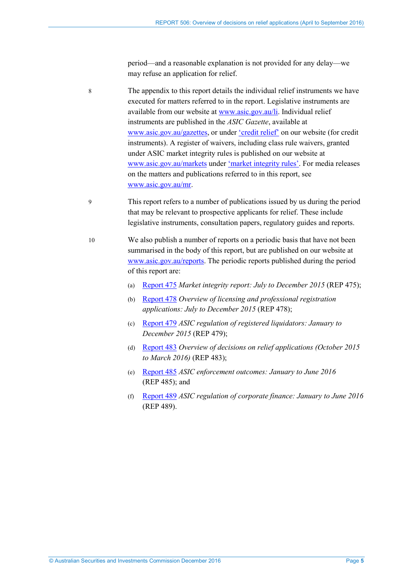period—and a reasonable explanation is not provided for any delay—we may refuse an application for relief.

- 8 The appendix to this report details the individual relief instruments we have executed for matters referred to in the report. Legislative instruments are available from our website at [www.asic.gov.au/li.](http://www.asic.gov.au/li) Individual relief instruments are published in the *ASIC Gazette*, available at [www.asic.gov.au/gazettes,](http://www.asic.gov.au/gazettes) or under ['credit](http://asic.gov.au/regulatory-resources/credit/credit-relief/) relief' on our website (for credit instruments). A register of waivers, including class rule waivers, granted under ASIC market integrity rules is published on our website at [www.asic.gov.au/markets](http://www.asic.gov.au/markets) under 'market [integrity rules'.](http://www.asic.gov.au/regulatory-resources/markets/market-integrity-rules/register-of-waivers-granted-under-asic-market-integrity-rules/) For media releases on the matters and publications referred to in this report, see [www.asic.gov.au/mr.](http://www.asic.gov.au/mr)
- 9 This report refers to a number of publications issued by us during the period that may be relevant to prospective applicants for relief. These include legislative instruments, consultation papers, regulatory guides and reports.
- 10 We also publish a number of reports on a periodic basis that have not been summarised in the body of this report, but are published on our website at [www.asic.gov.au/reports.](http://www.asic.gov.au/reports) The periodic reports published during the period of this report are:
	- (a) [Report 475](http://asic.gov.au/regulatory-resources/find-a-document/reports/rep-475-market-integrity-report-july-to-december-2015/) *Market integrity report: July to December 2015* (REP 475);
	- (b) [Report 478](http://asic.gov.au/regulatory-resources/find-a-document/reports/rep-478-overview-of-licensing-and-professional-registration-applications-july-to-december-2015/) *Overview of licensing and professional registration applications: July to December 2015* (REP 478);
	- (c) [Report 479](http://asic.gov.au/regulatory-resources/find-a-document/reports/rep-479-asic-regulation-of-registered-liquidators-january-to-december-2015/) *ASIC regulation of registered liquidators: January to December 2015* (REP 479);
	- (d) [Report 483](http://www.asic.gov.au/regulatory-resources/find-a-document/reports/rep-483-overview-of-decisions-on-relief-applications-october-2015-to-march-2016/) *Overview of decisions on relief applications (October 2015 to March 2016)* (REP 483);
	- (e) [Report 485](http://asic.gov.au/regulatory-resources/find-a-document/reports/rep-485-asic-enforcement-outcomes-january-to-june-2016/) *ASIC enforcement outcomes: January to June 2016* (REP 485); and
	- (f) [Report 489](http://asic.gov.au/regulatory-resources/find-a-document/reports/rep-489-asic-regulation-of-corporate-finance-january-to-june-2016/) *ASIC regulation of corporate finance: January to June 2016* (REP 489).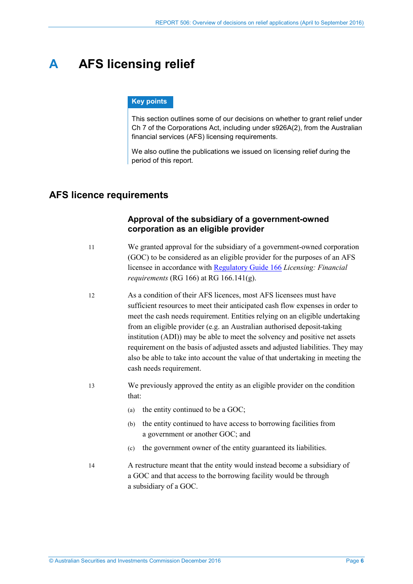# <span id="page-5-0"></span>**A AFS licensing relief**

#### **Key points**

This section outlines some of our decisions on whether to grant relief under Ch 7 of the Corporations Act, including under s926A(2), from the Australian financial services (AFS) licensing requirements.

We also outline the publications we issued on licensing relief during the period of this report.

# <span id="page-5-1"></span>**AFS licence requirements**

## **Approval of the subsidiary of a government-owned corporation as an eligible provider**

- 11 We granted approval for the subsidiary of a government-owned corporation (GOC) to be considered as an eligible provider for the purposes of an AFS licensee in accordance with [Regulatory Guide 166](http://asic.gov.au/regulatory-resources/find-a-document/regulatory-guides/rg-166-licensing-financial-requirements/) *Licensing: Financial requirements* (RG 166) at RG 166.141(g).
- 12 As a condition of their AFS licences, most AFS licensees must have sufficient resources to meet their anticipated cash flow expenses in order to meet the cash needs requirement. Entities relying on an eligible undertaking from an eligible provider (e.g. an Australian authorised deposit-taking institution (ADI)) may be able to meet the solvency and positive net assets requirement on the basis of adjusted assets and adjusted liabilities. They may also be able to take into account the value of that undertaking in meeting the cash needs requirement.
- 13 We previously approved the entity as an eligible provider on the condition that:
	- (a) the entity continued to be a GOC;
	- (b) the entity continued to have access to borrowing facilities from a government or another GOC; and
	- (c) the government owner of the entity guaranteed its liabilities.
- 14 A restructure meant that the entity would instead become a subsidiary of a GOC and that access to the borrowing facility would be through a subsidiary of a GOC.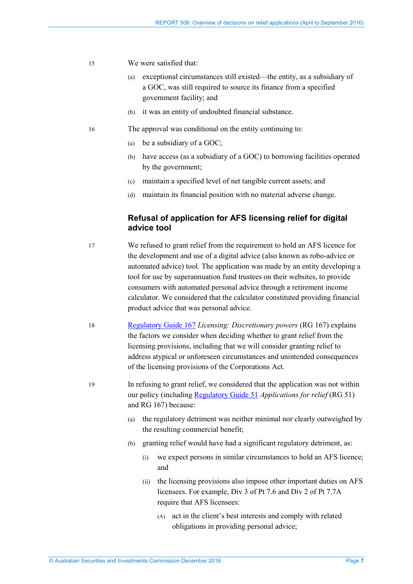- 15 We were satisfied that:
	- (a) exceptional circumstances still existed—the entity, as a subsidiary of a GOC, was still required to source its finance from a specified government facility; and
	- (b) it was an entity of undoubted financial substance.
- 16 The approval was conditional on the entity continuing to:
	- (a) be a subsidiary of a GOC;
	- (b) have access (as a subsidiary of a GOC) to borrowing facilities operated by the government;
	- (c) maintain a specified level of net tangible current assets; and
	- (d) maintain its financial position with no material adverse change.

## **Refusal of application for AFS licensing relief for digital advice tool**

- 17 We refused to grant relief from the requirement to hold an AFS licence for the development and use of a digital advice (also known as robo-advice or automated advice) tool. The application was made by an entity developing a tool for use by superannuation fund trustees on their websites, to provide consumers with automated personal advice through a retirement income calculator. We considered that the calculator constituted providing financial product advice that was personal advice.
- 18 [Regulatory Guide 167](http://asic.gov.au/regulatory-resources/find-a-document/regulatory-guides/rg-167-licensing-discretionary-powers/) *Licensing: Discretionary powers* (RG 167) explains the factors we consider when deciding whether to grant relief from the licensing provisions, including that we will consider granting relief to address atypical or unforeseen circumstances and unintended consequences of the licensing provisions of the Corporations Act.
- 19 In refusing to grant relief, we considered that the application was not within our policy (including [Regulatory Guide 51](http://asic.gov.au/regulatory-resources/find-a-document/regulatory-guides/rg-51-applications-for-relief/) *Applications for relief* (RG 51) and RG 167) because:
	- (a) the regulatory detriment was neither minimal nor clearly outweighed by the resulting commercial benefit;
	- (b) granting relief would have had a significant regulatory detriment, as:
		- (i) we expect persons in similar circumstances to hold an AFS licence; and
		- (ii) the licensing provisions also impose other important duties on AFS licensees. For example, Div 3 of Pt 7.6 and Div 2 of Pt 7.7A require that AFS licensees:
			- (A) act in the client's best interests and comply with related obligations in providing personal advice;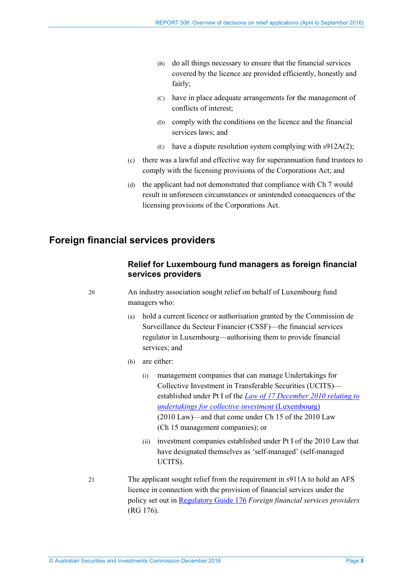- (B) do all things necessary to ensure that the financial services covered by the licence are provided efficiently, honestly and fairly;
- (C) have in place adequate arrangements for the management of conflicts of interest;
- (D) comply with the conditions on the licence and the financial services laws; and
- $(E)$  have a dispute resolution system complying with s912A(2);
- <span id="page-7-1"></span>(c) there was a lawful and effective way for superannuation fund trustees to comply with the licensing provisions of the Corporations Act; and
- (d) the applicant had not demonstrated that compliance with Ch 7 would result in unforeseen circumstances or unintended consequences of the licensing provisions of the Corporations Act.

# <span id="page-7-0"></span>**Foreign financial services providers**

## **Relief for Luxembourg fund managers as foreign financial services providers**

20 An industry association sought relief on behalf of Luxembourg fund managers who:

- (a) hold a current licence or authorisation granted by the Commission de Surveillance du Secteur Financier (CSSF)—the financial services regulator in Luxembourg—authorising them to provide financial services; and
- (b) are either:
	- (i) management companies that can manage Undertakings for Collective Investment in Transferable Securities (UCITS) established under Pt I of the *Law of 17 [December 2010 relating to](https://www.cssf.lu/en/supervision/ivm/manco15/regulation/laws-regulations-and-other-texts/)  [undertakings for collective investment](https://www.cssf.lu/en/supervision/ivm/manco15/regulation/laws-regulations-and-other-texts/)* (Luxembourg) (2010 Law)—and that come under Ch 15 of the 2010 Law (Ch 15 management companies); or
	- (ii) investment companies established under Pt I of the 2010 Law that have designated themselves as 'self-managed' (self-managed UCITS).
- 21 The applicant sought relief from the requirement in s911A to hold an AFS licence in connection with the provision of financial services under the policy set out i[n Regulatory Guide 176](http://asic.gov.au/regulatory-resources/find-a-document/regulatory-guides/rg-176-foreign-financial-services-providers/) *Foreign financial services providers* (RG 176).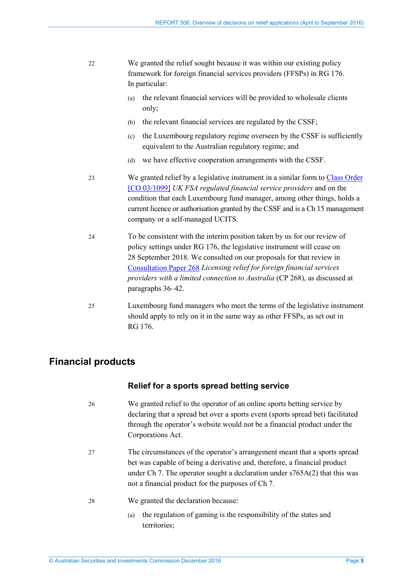- 22 We granted the relief sought because it was within our existing policy framework for foreign financial services providers (FFSPs) in RG 176. In particular:
	- (a) the relevant financial services will be provided to wholesale clients only;
	- (b) the relevant financial services are regulated by the CSSF;
	- (c) the Luxembourg regulatory regime overseen by the CSSF is sufficiently equivalent to the Australian regulatory regime; and
	- (d) we have effective cooperation arrangements with the CSSF.
- <span id="page-8-1"></span>23 We granted relief by a legislative instrument in a similar form to Class [Order](https://www.legislation.gov.au/Details/F2013C00688)  [\[CO 03/1099\]](https://www.legislation.gov.au/Details/F2013C00688) *UK FSA regulated financial service providers* and on the condition that each Luxembourg fund manager, among other things, holds a current licence or authorisation granted by the CSSF and is a Ch 15 management company or a self-managed UCITS.
- <span id="page-8-2"></span>24 To be consistent with the interim position taken by us for our review of policy settings under RG 176, the legislative instrument will cease on 28 September 2018. We consulted on our proposals for that review in [Consultation Paper 268](http://asic.gov.au/regulatory-resources/find-a-document/consultation-papers/cp-268-licensing-relief-for-foreign-financial-services-providers-with-a-limited-connection-to-australia/) *Licensing relief for foreign financial services providers with a limited connection to Australia* (CP 268), as discussed at paragraphs [36–](#page-10-0)[42.](#page-11-0)
- 25 Luxembourg fund managers who meet the terms of the legislative instrument should apply to rely on it in the same way as other FFSPs, as set out in RG 176.

# <span id="page-8-0"></span>**Financial products**

## **Relief for a sports spread betting service**

- 26 We granted relief to the operator of an online sports betting service by declaring that a spread bet over a sports event (sports spread bet) facilitated through the operator's website would not be a financial product under the Corporations Act.
- 27 The circumstances of the operator's arrangement meant that a sports spread bet was capable of being a derivative and, therefore, a financial product under Ch 7. The operator sought a declaration under s765A(2) that this was not a financial product for the purposes of Ch 7.
- 28 We granted the declaration because:
	- (a) the regulation of gaming is the responsibility of the states and territories;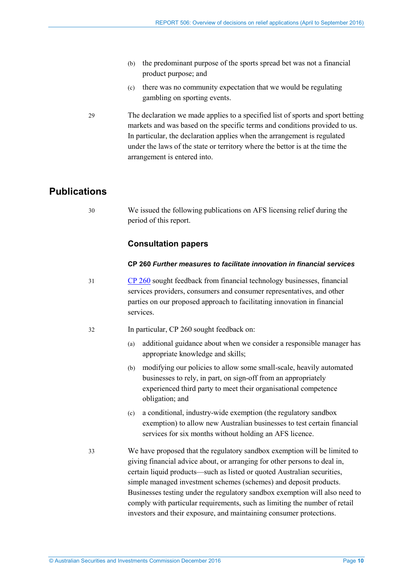- <span id="page-9-1"></span>(b) the predominant purpose of the sports spread bet was not a financial product purpose; and
- (c) there was no community expectation that we would be regulating gambling on sporting events.
- 29 The declaration we made applies to a specified list of sports and sport betting markets and was based on the specific terms and conditions provided to us. In particular, the declaration applies when the arrangement is regulated under the laws of the state or territory where the bettor is at the time the arrangement is entered into.

# <span id="page-9-0"></span>**Publications**

30 We issued the following publications on AFS licensing relief during the period of this report.

# **Consultation papers**

### **CP 260** *Further measures to facilitate innovation in financial services*

- 31 [CP 260](http://asic.gov.au/regulatory-resources/find-a-document/consultation-papers/cp-260-further-measures-to-facilitate-innovation-in-financial-services/) sought feedback from financial technology businesses, financial services providers, consumers and consumer representatives, and other parties on our proposed approach to facilitating innovation in financial services.
- 32 In particular, CP 260 sought feedback on:
	- (a) additional guidance about when we consider a responsible manager has appropriate knowledge and skills;
	- (b) modifying our policies to allow some small-scale, heavily automated businesses to rely, in part, on sign-off from an appropriately experienced third party to meet their organisational competence obligation; and
	- (c) a conditional, industry-wide exemption (the regulatory sandbox exemption) to allow new Australian businesses to test certain financial services for six months without holding an AFS licence.
- 33 We have proposed that the regulatory sandbox exemption will be limited to giving financial advice about, or arranging for other persons to deal in, certain liquid products—such as listed or quoted Australian securities, simple managed investment schemes (schemes) and deposit products. Businesses testing under the regulatory sandbox exemption will also need to comply with particular requirements, such as limiting the number of retail investors and their exposure, and maintaining consumer protections.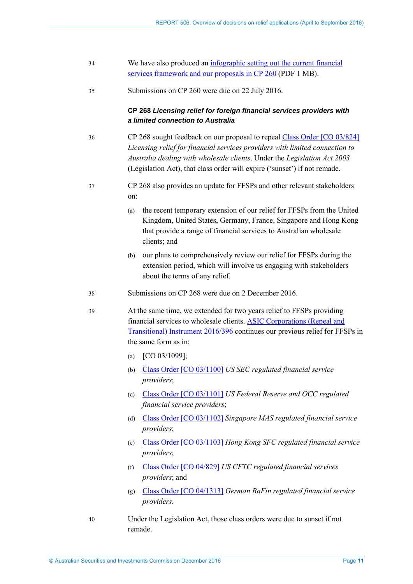| 34 | We have also produced an infographic setting out the current financial |
|----|------------------------------------------------------------------------|
|    | services framework and our proposals in CP 260 (PDF 1 MB).             |

35 Submissions on CP 260 were due on 22 July 2016.

### **CP 268** *Licensing relief for foreign financial services providers with a limited connection to Australia*

- <span id="page-10-0"></span>36 CP 268 sought feedback on our proposal to repeal Class [Order \[CO 03/824\]](https://www.legislation.gov.au/Details/F2007B00420) *Licensing relief for financial services providers with limited connection to Australia dealing with wholesale clients*. Under the *Legislation Act 2003* (Legislation Act), that class order will expire ('sunset') if not remade.
- 37 CP 268 also provides an update for FFSPs and other relevant stakeholders on:
	- (a) the recent temporary extension of our relief for FFSPs from the United Kingdom, United States, Germany, France, Singapore and Hong Kong that provide a range of financial services to Australian wholesale clients; and
	- (b) our plans to comprehensively review our relief for FFSPs during the extension period, which will involve us engaging with stakeholders about the terms of any relief.
- 38 Submissions on CP 268 were due on 2 December 2016.
- 39 At the same time, we extended for two years relief to FFSPs providing financial services to wholesale clients. [ASIC Corporations \(Repeal and](https://www.legislation.gov.au/Details/F2016L01497)  [Transitional\) Instrument 2016/396](https://www.legislation.gov.au/Details/F2016L01497) continues our previous relief for FFSPs in the same form as in:
	- (a) [CO 03/1099];
	- (b) Class [Order \[CO 03/1100\]](https://www.legislation.gov.au/Details/F2012C00702) *US SEC regulated financial service providers*;
	- (c) Class [Order \[CO 03/1101\]](https://www.legislation.gov.au/Details/F2012C00703) *US Federal Reserve and OCC regulated financial service providers*;
	- (d) Class [Order \[CO 03/1102\]](https://www.legislation.gov.au/Details/F2012C00704) *Singapore MAS regulated financial service providers*;
	- (e) Class Order [\[CO 03/1103\]](https://www.legislation.gov.au/Details/F2012C00705) *Hong Kong SFC regulated financial service providers*;
	- (f) Class [Order \[CO 04/829\]](https://www.legislation.gov.au/Details/F2012C00712) *US CFTC regulated financial services providers*; and
	- (g) Class [Order \[CO 04/1313\]](https://www.legislation.gov.au/Details/F2006B01475) *German BaFin regulated financial service providers*.
- 40 Under the Legislation Act, those class orders were due to sunset if not remade.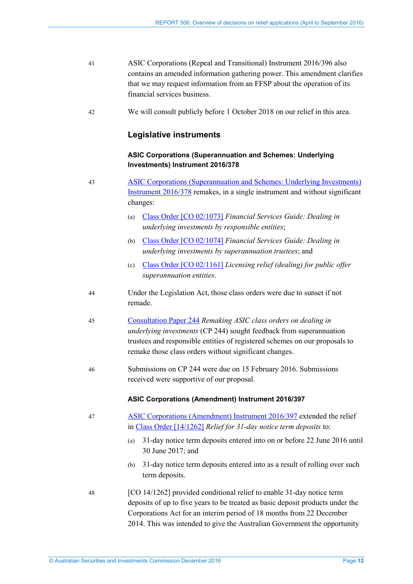- 41 ASIC Corporations (Repeal and Transitional) Instrument 2016/396 also contains an amended information gathering power. This amendment clarifies that we may request information from an FFSP about the operation of its financial services business.
- <span id="page-11-0"></span>42 We will consult publicly before 1 October 2018 on our relief in this area.

### **Legislative instruments**

### **ASIC Corporations (Superannuation and Schemes: Underlying Investments) Instrument 2016/378**

- 43 [ASIC Corporations \(Superannuation and Schemes: Underlying Investments\)](https://www.legislation.gov.au/Details/F2016L00802)  [Instrument 2016/378](https://www.legislation.gov.au/Details/F2016L00802) remakes, in a single instrument and without significant changes:
	- (a) Class [Order \[CO 02/1073\]](https://www.legislation.gov.au/Details/F2007B00298) *Financial Services Guide: Dealing in underlying investments by responsible entities*;
	- (b) Class [Order \[CO 02/1074\]](https://www.legislation.gov.au/Details/F2007B00299) *Financial Services Guide: Dealing in underlying investments by superannuation trustees*; and
	- (c) Class [Order \[CO 02/1161\]](https://www.legislation.gov.au/Details/F2007B00305) *Licensing relief (dealing) for public offer superannuation entities*.
- 44 Under the Legislation Act, those class orders were due to sunset if not remade.
- 45 [Consultation Paper 244](http://asic.gov.au/regulatory-resources/find-a-document/consultation-papers/cp-244-remaking-asic-class-orders-on-dealing-in-underlying-investments/) *Remaking ASIC class orders on dealing in underlying investments* (CP 244) sought feedback from superannuation trustees and responsible entities of registered schemes on our proposals to remake those class orders without significant changes.
- 46 Submissions on CP 244 were due on 15 February 2016. Submissions received were supportive of our proposal.

#### **ASIC Corporations (Amendment) Instrument 2016/397**

- 47 [ASIC Corporations \(Amendment\) Instrument 2016/397](https://www.legislation.gov.au/Details/F2016L00789) extended the relief in Class [Order \[14/1262\]](https://www.legislation.gov.au/Details/F2016C00488) *Relief for 31-day notice term deposits* to:
	- (a) 31-day notice term deposits entered into on or before 22 June 2016 until 30 June 2017; and
	- (b) 31-day notice term deposits entered into as a result of rolling over such term deposits.
- 48 [CO 14/1262] provided conditional relief to enable 31-day notice term deposits of up to five years to be treated as basic deposit products under the Corporations Act for an interim period of 18 months from 22 December 2014. This was intended to give the Australian Government the opportunity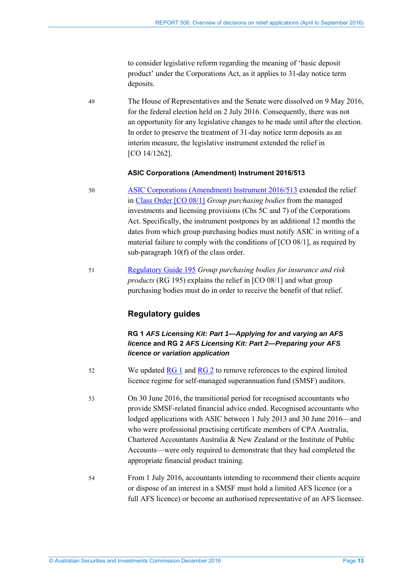to consider legislative reform regarding the meaning of 'basic deposit product' under the Corporations Act, as it applies to 31-day notice term deposits.

49 The House of Representatives and the Senate were dissolved on 9 May 2016, for the federal election held on 2 July 2016. Consequently, there was not an opportunity for any legislative changes to be made until after the election. In order to preserve the treatment of 31-day notice term deposits as an interim measure, the legislative instrument extended the relief in [CO 14/1262].

#### **ASIC Corporations (Amendment) Instrument 2016/513**

- 50 [ASIC Corporations \(Amendment\) Instrument 2016/513](https://www.legislation.gov.au/Details/F2016L01084) extended the relief in Class [Order \[CO 08/1\]](https://www.legislation.gov.au/Details/F2016C00685) *Group purchasing bodies* from the managed investments and licensing provisions (Chs 5C and 7) of the Corporations Act. Specifically, the instrument postpones by an additional 12 months the dates from which group purchasing bodies must notify ASIC in writing of a material failure to comply with the conditions of [CO 08/1], as required by sub-paragraph 10(f) of the class order.
- 51 [Regulatory Guide 195](http://asic.gov.au/regulatory-resources/find-a-document/regulatory-guides/rg-195-group-purchasing-bodies-for-insurance-and-risk-products/) *Group purchasing bodies for insurance and risk products* (RG 195) explains the relief in [CO 08/1] and what group purchasing bodies must do in order to receive the benefit of that relief.

## **Regulatory guides**

## **RG 1** *AFS Licensing Kit: Part 1—Applying for and varying an AFS licence* **and RG 2** *AFS Licensing Kit: Part 2—Preparing your AFS licence or variation application*

- 52 We updated  $\frac{RG1}{RG1}$  and  $\frac{RG2}{G1}$  to remove references to the expired limited licence regime for self-managed superannuation fund (SMSF) auditors.
- 53 On 30 June 2016, the transitional period for recognised accountants who provide SMSF-related financial advice ended. Recognised accountants who lodged applications with ASIC between 1 July 2013 and 30 June 2016—and who were professional practising certificate members of CPA Australia, Chartered Accountants Australia & New Zealand or the Institute of Public Accounts—were only required to demonstrate that they had completed the appropriate financial product training.
- 54 From 1 July 2016, accountants intending to recommend their clients acquire or dispose of an interest in a SMSF must hold a limited AFS licence (or a full AFS licence) or become an authorised representative of an AFS licensee.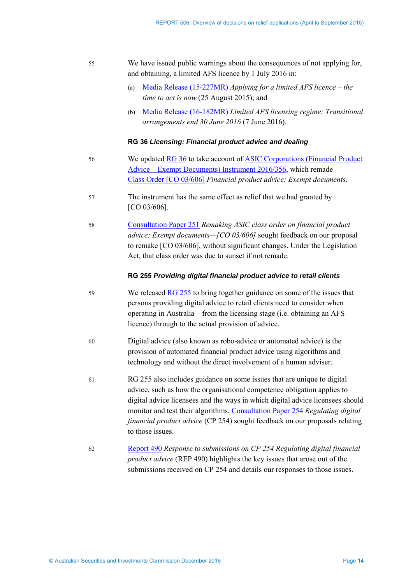| We have issued public warnings about the consequences of not applying for, |
|----------------------------------------------------------------------------|
| and obtaining, a limited AFS licence by 1 July 2016 in:                    |

- (a) [Media Release \(15-227MR\)](http://www.asic.gov.au/about-asic/media-centre/find-a-media-release/2015-releases/15-227mr-applying-for-a-limited-afs-licence-the-time-to-act-is-now/) *Applying for a limited AFS licence the time to act is now* (25 August 2015); and
- (b) [Media Release \(16-182MR\)](http://www.asic.gov.au/about-asic/media-centre/find-a-media-release/2016-releases/16-182mr-limited-afs-licensing-regime-transitional-arrangements-end-30-june-2016/) *Limited AFS licensing regime: Transitional arrangements end 30 June 2016* (7 June 2016).

#### **RG 36** *Licensing: Financial product advice and dealing*

- 56 We updated [RG 36](http://asic.gov.au/regulatory-resources/find-a-document/regulatory-guides/rg-36-licensing-financial-product-advice-and-dealing/) to take account of ASIC Corporations (Financial Product [Advice – Exempt Documents\) Instrument 2016/356,](https://www.legislation.gov.au/Details/F2016L00998) which remade Class [Order \[CO 03/606\]](https://www.legislation.gov.au/Details/F2011C00512) *Financial product advice: Exempt documents*.
- 57 The instrument has the same effect as relief that we had granted by [CO 03/606].
- 58 [Consultation Paper 251](http://asic.gov.au/regulatory-resources/find-a-document/consultation-papers/cp-251-remaking-asic-class-order-on-financial-product-advice-exempt-documents-co-03606/) *Remaking ASIC class order on financial product advice: Exempt documents—[CO 03/606]* sought feedback on our proposal to remake [CO 03/606], without significant changes. Under the Legislation Act, that class order was due to sunset if not remade.

#### **RG 255** *Providing digital financial product advice to retail clients*

- 59 We released [RG 255](http://asic.gov.au/regulatory-resources/find-a-document/regulatory-guides/rg-255-providing-digital-financial-product-advice-to-retail-clients/) to bring together guidance on some of the issues that persons providing digital advice to retail clients need to consider when operating in Australia—from the licensing stage (i.e. obtaining an AFS licence) through to the actual provision of advice.
- 60 Digital advice (also known as robo-advice or automated advice) is the provision of automated financial product advice using algorithms and technology and without the direct involvement of a human adviser.
- 61 RG 255 also includes guidance on some issues that are unique to digital advice, such as how the organisational competence obligation applies to digital advice licensees and the ways in which digital advice licensees should monitor and test their algorithms. [Consultation Paper 254](http://asic.gov.au/regulatory-resources/find-a-document/consultation-papers/cp-254-regulating-digital-financial-product-advice/) *Regulating digital financial product advice* (CP 254) sought feedback on our proposals relating to those issues.
- 62 [Report 490](http://asic.gov.au/regulatory-resources/find-a-document/reports/rep-490-response-to-submissions-on-cp-254-regulating-digital-financial-product-advice/) *Response to submissions on CP 254 Regulating digital financial product advice* (REP 490) highlights the key issues that arose out of the submissions received on CP 254 and details our responses to those issues.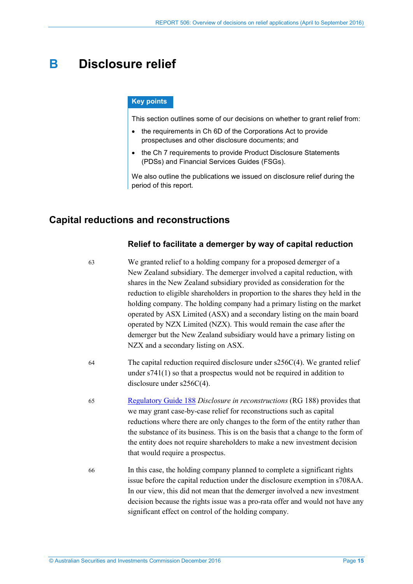# <span id="page-14-2"></span><span id="page-14-0"></span>**B Disclosure relief**

#### **Key points**

This section outlines some of our decisions on whether to grant relief from:

- the requirements in Ch 6D of the Corporations Act to provide prospectuses and other disclosure documents; and
- the Ch 7 requirements to provide Product Disclosure Statements (PDSs) and Financial Services Guides (FSGs).

We also outline the publications we issued on disclosure relief during the period of this report.

# <span id="page-14-1"></span>**Capital reductions and reconstructions**

### **Relief to facilitate a demerger by way of capital reduction**

| 63 | We granted relief to a holding company for a proposed demerger of a<br>New Zealand subsidiary. The demerger involved a capital reduction, with<br>shares in the New Zealand subsidiary provided as consideration for the<br>reduction to eligible shareholders in proportion to the shares they held in the<br>holding company. The holding company had a primary listing on the market<br>operated by ASX Limited (ASX) and a secondary listing on the main board<br>operated by NZX Limited (NZX). This would remain the case after the<br>demerger but the New Zealand subsidiary would have a primary listing on<br>NZX and a secondary listing on ASX. |
|----|-------------------------------------------------------------------------------------------------------------------------------------------------------------------------------------------------------------------------------------------------------------------------------------------------------------------------------------------------------------------------------------------------------------------------------------------------------------------------------------------------------------------------------------------------------------------------------------------------------------------------------------------------------------|
| 64 | The capital reduction required disclosure under $s256C(4)$ . We granted relief<br>under $s741(1)$ so that a prospectus would not be required in addition to<br>disclosure under $s256C(4)$ .                                                                                                                                                                                                                                                                                                                                                                                                                                                                |
| 65 | Regulatory Guide 188 Disclosure in reconstructions (RG 188) provides that<br>we may grant case-by-case relief for reconstructions such as capital<br>reductions where there are only changes to the form of the entity rather than<br>the substance of its business. This is on the basis that a change to the form of<br>the entity does not require shareholders to make a new investment decision<br>that would require a prospectus.                                                                                                                                                                                                                    |
| 66 | In this case, the holding company planned to complete a significant rights<br>issue before the capital reduction under the disclosure exemption in s708AA.<br>In our view, this did not mean that the demerger involved a new investment<br>decision because the rights issue was a pro-rata offer and would not have any<br>significant effect on control of the holding company.                                                                                                                                                                                                                                                                          |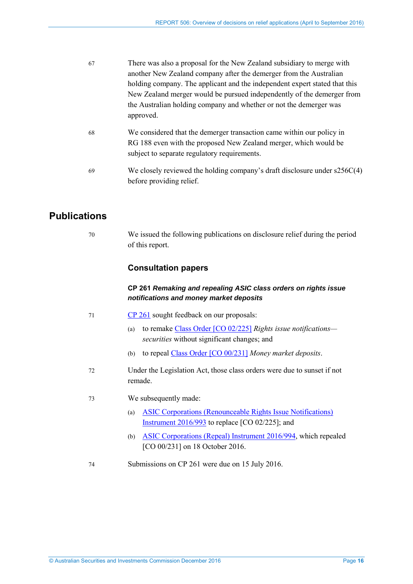<span id="page-15-1"></span>

| 67         | There was also a proposal for the New Zealand subsidiary to merge with     |
|------------|----------------------------------------------------------------------------|
|            | another New Zealand company after the demerger from the Australian         |
|            | holding company. The applicant and the independent expert stated that this |
|            | New Zealand merger would be pursued independently of the demerger from     |
|            | the Australian holding company and whether or not the demerger was         |
|            | approved.                                                                  |
| $\epsilon$ | We considered that the demorger transaction came within our policy in      |

- 68 We considered that the demerger transaction came within our policy in RG 188 even with the proposed New Zealand merger, which would be subject to separate regulatory requirements.
- 69 We closely reviewed the holding company's draft disclosure under s256C(4) before providing relief.

# <span id="page-15-0"></span>**Publications**

70 We issued the following publications on disclosure relief during the period of this report.

# **Consultation papers**

## **CP 261** *Remaking and repealing ASIC class orders on rights issue notifications and money market deposits*

- 71 [CP 261](http://asic.gov.au/regulatory-resources/find-a-document/consultation-papers/cp-261-remaking-and-repealing-asic-class-orders-on-rights-issue-notifications-and-money-market-deposits/) sought feedback on our proposals:
	- (a) to remake Class [Order \[CO 02/225\]](https://www.legislation.gov.au/Details/F2007B00247) *Rights issue notifications securities* without significant changes; and
	- (b) to repeal Class [Order \[CO 00/231\]](https://www.legislation.gov.au/Details/F2007B00084) *Money market deposits*.
- 72 Under the Legislation Act, those class orders were due to sunset if not remade.
- 73 We subsequently made:
	- (a) [ASIC Corporations \(Renounceable Rights Issue Notifications\)](https://www.legislation.gov.au/Details/F2016L01620)  [Instrument 2016/993](https://www.legislation.gov.au/Details/F2016L01620) to replace [CO 02/225]; and
	- (b) [ASIC Corporations \(Repeal\) Instrument 2016/994,](https://www.legislation.gov.au/Details/F2016L01621) which repealed [CO 00/231] on 18 October 2016.
- 74 Submissions on CP 261 were due on 15 July 2016.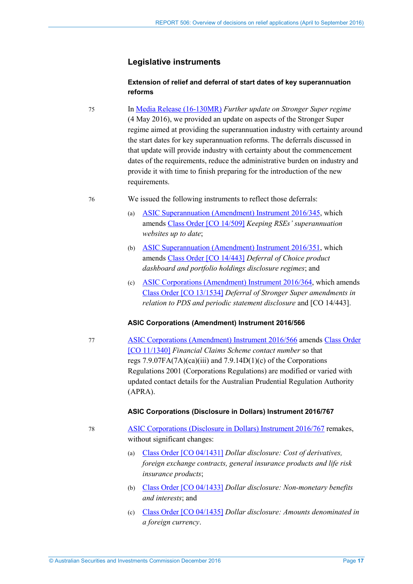## **Legislative instruments**

### **Extension of relief and deferral of start dates of key superannuation reforms**

75 In Media [Release \(16-130MR\)](http://asic.gov.au/about-asic/media-centre/find-a-media-release/2016-releases/16-130mr-further-update-on-stronger-super-regime/) *Further update on Stronger Super regime* (4 May 2016), we provided an update on aspects of the Stronger Super regime aimed at providing the superannuation industry with certainty around the start dates for key superannuation reforms. The deferrals discussed in that update will provide industry with certainty about the commencement dates of the requirements, reduce the administrative burden on industry and provide it with time to finish preparing for the introduction of the new requirements.

### 76 We issued the following instruments to reflect those deferrals:

- (a) [ASIC Superannuation \(Amendment\) Instrument 2016/345,](https://www.legislation.gov.au/Details/F2016L00587) which amends Class [Order \[CO 14/509\]](https://www.legislation.gov.au/Details/F2016C00415) *Keeping RSEs' superannuation websites up to date*;
- (b) [ASIC Superannuation \(Amendment\) Instrument 2016/351,](https://www.legislation.gov.au/Details/F2016L00575) which amends Class [Order \[CO 14/443\]](https://www.legislation.gov.au/Details/F2016C00646) *Deferral of Choice product dashboard and portfolio holdings disclosure regimes*; and
- (c) [ASIC Corporations \(Amendment\) Instrument 2016/364,](https://www.legislation.gov.au/Details/F2016L00631) which amends Class [Order \[CO 13/1534\]](https://www.legislation.gov.au/Details/F2016C00647) *Deferral of Stronger Super amendments in relation to PDS and periodic statement disclosure* and [CO 14/443].

### **ASIC Corporations (Amendment) Instrument 2016/566**

77 [ASIC Corporations \(Amendment\) Instrument 2016/566](https://www.legislation.gov.au/Details/F2016L01178) amends Class [Order](https://www.legislation.gov.au/Details/F2016C00744)  [\[CO 11/1340\]](https://www.legislation.gov.au/Details/F2016C00744) *Financial Claims Scheme contact number* so that regs  $7.9.07FA(7A)(ca)(iii)$  and  $7.9.14D(1)(c)$  of the Corporations Regulations 2001 (Corporations Regulations) are modified or varied with updated contact details for the Australian Prudential Regulation Authority (APRA).

### **ASIC Corporations (Disclosure in Dollars) Instrument 2016/767**

- 78 [ASIC Corporations \(Disclosure in Dollars\) Instrument 2016/767](https://www.legislation.gov.au/Details/F2016L01299) remakes, without significant changes:
	- (a) Class [Order \[CO 04/1431\]](https://www.legislation.gov.au/Details/F2006B01629) *Dollar disclosure: Cost of derivatives, foreign exchange contracts, general insurance products and life risk insurance products*;
	- (b) Class [Order \[CO 04/1433\]](https://www.legislation.gov.au/Details/F2007B00390) *Dollar disclosure: Non-monetary benefits and interests*; and
	- (c) Class [Order \[CO 04/1435\]](https://www.legislation.gov.au/Details/F2007B00388) *Dollar disclosure: Amounts denominated in a foreign currency*.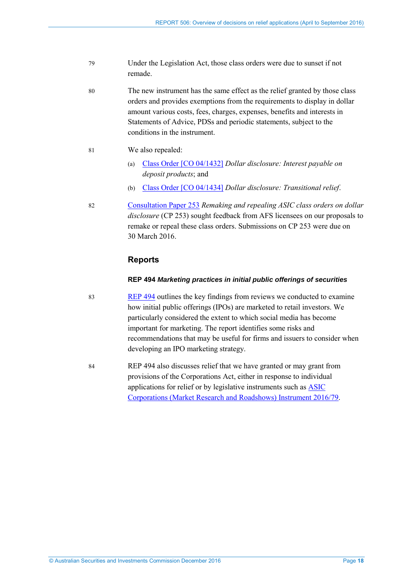- 79 Under the Legislation Act, those class orders were due to sunset if not remade.
- 80 The new instrument has the same effect as the relief granted by those class orders and provides exemptions from the requirements to display in dollar amount various costs, fees, charges, expenses, benefits and interests in Statements of Advice, PDSs and periodic statements, subject to the conditions in the instrument.
- 81 We also repealed:
	- (a) Class [Order \[CO 04/1432\]](https://www.legislation.gov.au/Details/F2007B00381) *Dollar disclosure: Interest payable on deposit products*; and
	- (b) Class [Order \[CO 04/1434\]](https://www.legislation.gov.au/Details/F2006C00652) *Dollar disclosure: Transitional relief*.
- 82 [Consultation Paper 253](http://asic.gov.au/regulatory-resources/find-a-document/consultation-papers/cp-253-remaking-and-repealing-asic-class-orders-on-dollar-disclosure/) *Remaking and repealing ASIC class orders on dollar disclosure* (CP 253) sought feedback from AFS licensees on our proposals to remake or repeal these class orders. Submissions on CP 253 were due on 30 March 2016.

## **Reports**

#### **REP 494** *Marketing practices in initial public offerings of securities*

- 83 [REP 494](http://asic.gov.au/regulatory-resources/find-a-document/reports/rep-494-marketing-practices-in-initial-public-offerings-of-securities/) outlines the key findings from reviews we conducted to examine how initial public offerings (IPOs) are marketed to retail investors. We particularly considered the extent to which social media has become important for marketing. The report identifies some risks and recommendations that may be useful for firms and issuers to consider when developing an IPO marketing strategy.
- 84 REP 494 also discusses relief that we have granted or may grant from provisions of the Corporations Act, either in response to individual applications for relief or by legislative instruments such as [ASIC](https://www.legislation.gov.au/Details/F2016L00324)  [Corporations \(Market Research and Roadshows\) Instrument 2016/79.](https://www.legislation.gov.au/Details/F2016L00324)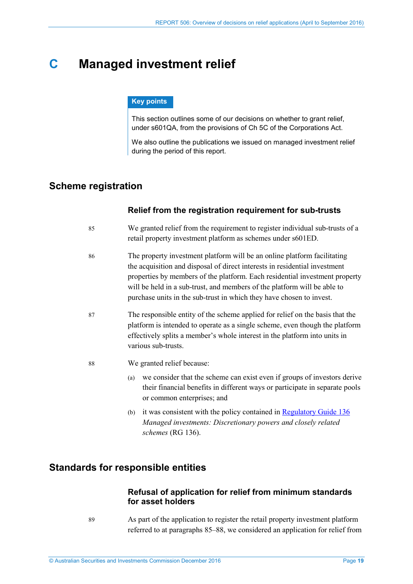# <span id="page-18-5"></span><span id="page-18-0"></span>**C Managed investment relief**

#### **Key points**

This section outlines some of our decisions on whether to grant relief, under s601QA, from the provisions of Ch 5C of the Corporations Act.

We also outline the publications we issued on managed investment relief during the period of this report.

# <span id="page-18-6"></span><span id="page-18-3"></span><span id="page-18-1"></span>**Scheme registration**

### **Relief from the registration requirement for sub-trusts**

- 85 We granted relief from the requirement to register individual sub-trusts of a retail property investment platform as schemes under s601ED.
- 86 The property investment platform will be an online platform facilitating the acquisition and disposal of direct interests in residential investment properties by members of the platform. Each residential investment property will be held in a sub-trust, and members of the platform will be able to purchase units in the sub-trust in which they have chosen to invest.
- 87 The responsible entity of the scheme applied for relief on the basis that the platform is intended to operate as a single scheme, even though the platform effectively splits a member's whole interest in the platform into units in various sub-trusts.
- <span id="page-18-4"></span>88 We granted relief because:
	- (a) we consider that the scheme can exist even if groups of investors derive their financial benefits in different ways or participate in separate pools or common enterprises; and
	- (b) it was consistent with the policy contained i[n Regulatory Guide 136](http://asic.gov.au/regulatory-resources/find-a-document/regulatory-guides/rg-136-managed-investments-discretionary-powers-and-closely-related-schemes/) *Managed investments: Discretionary powers and closely related schemes* (RG 136).

# <span id="page-18-2"></span>**Standards for responsible entities**

## **Refusal of application for relief from minimum standards for asset holders**

89 As part of the application to register the retail property investment platform referred to at paragraphs [85](#page-18-3)[–88,](#page-18-4) we considered an application for relief from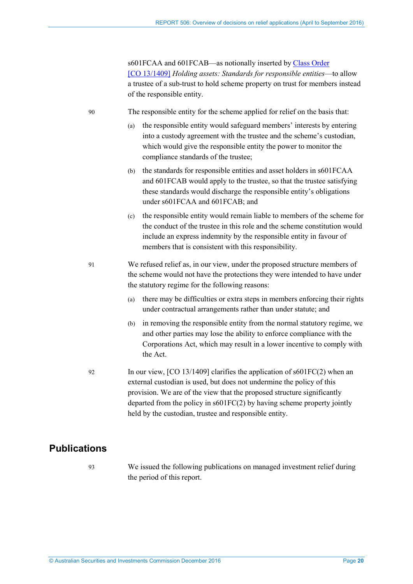s601FCAA and 601FCAB—as notionally inserted by Class [Order](https://www.legislation.gov.au/Details/F2013L01987)  [\[CO 13/1409\]](https://www.legislation.gov.au/Details/F2013L01987) *Holding assets: Standards for responsible entities*—to allow a trustee of a sub-trust to hold scheme property on trust for members instead of the responsible entity.

90 The responsible entity for the scheme applied for relief on the basis that:

- (a) the responsible entity would safeguard members' interests by entering into a custody agreement with the trustee and the scheme's custodian, which would give the responsible entity the power to monitor the compliance standards of the trustee;
- (b) the standards for responsible entities and asset holders in s601FCAA and 601FCAB would apply to the trustee, so that the trustee satisfying these standards would discharge the responsible entity's obligations under s601FCAA and 601FCAB; and
- (c) the responsible entity would remain liable to members of the scheme for the conduct of the trustee in this role and the scheme constitution would include an express indemnity by the responsible entity in favour of members that is consistent with this responsibility.
- 91 We refused relief as, in our view, under the proposed structure members of the scheme would not have the protections they were intended to have under the statutory regime for the following reasons:
	- (a) there may be difficulties or extra steps in members enforcing their rights under contractual arrangements rather than under statute; and
	- (b) in removing the responsible entity from the normal statutory regime, we and other parties may lose the ability to enforce compliance with the Corporations Act, which may result in a lower incentive to comply with the Act.
- 92 In our view, [CO 13/1409] clarifies the application of s601FC(2) when an external custodian is used, but does not undermine the policy of this provision. We are of the view that the proposed structure significantly departed from the policy in s601FC(2) by having scheme property jointly held by the custodian, trustee and responsible entity.

# <span id="page-19-0"></span>**Publications**

93 We issued the following publications on managed investment relief during the period of this report.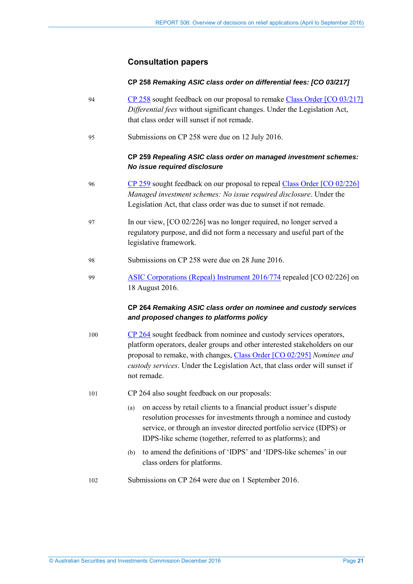### **Consultation papers**

#### **CP 258** *Remaking ASIC class order on differential fees: [CO 03/217]*

- 94 [CP 258](http://asic.gov.au/regulatory-resources/find-a-document/consultation-papers/cp-258-remaking-asic-class-order-on-differential-fees-co-03217/) sought feedback on our proposal to remake Class [Order \[CO 03/217\]](https://www.legislation.gov.au/Details/F2006C00595) *Differential fees* without significant changes. Under the Legislation Act, that class order will sunset if not remade.
- 95 Submissions on CP 258 were due on 12 July 2016.

### **CP 259** *Repealing ASIC class order on managed investment schemes: No issue required disclosure*

- 96 [CP 259](http://asic.gov.au/regulatory-resources/find-a-document/consultation-papers/cp-259-repealing-asic-class-order-on-managed-investment-schemes-no-issue-required-disclosure/) sought feedback on our proposal to repeal Class [Order \[CO 02/226\]](https://www.legislation.gov.au/Details/F2007B00249) *Managed investment schemes: No issue required disclosure*. Under the Legislation Act, that class order was due to sunset if not remade.
- 97 In our view, [CO 02/226] was no longer required, no longer served a regulatory purpose, and did not form a necessary and useful part of the legislative framework.
- 98 Submissions on CP 258 were due on 28 June 2016.
- 99 [ASIC Corporations \(Repeal\) Instrument 2016/774](https://www.legislation.gov.au/Details/F2016L01292) repealed [CO 02/226] on 18 August 2016.

### **CP 264** *Remaking ASIC class order on nominee and custody services and proposed changes to platforms policy*

- 100 [CP 264](http://asic.gov.au/regulatory-resources/find-a-document/consultation-papers/cp-264-remaking-asic-class-order-on-nominee-and-custody-services-and-proposed-changes-to-platforms-policy/) sought feedback from nominee and custody services operators, platform operators, dealer groups and other interested stakeholders on our proposal to remake, with changes, Class [Order \[CO 02/295\]](https://www.legislation.gov.au/Details/F2013C00498) *Nominee and custody services*. Under the Legislation Act, that class order will sunset if not remade.
- 101 CP 264 also sought feedback on our proposals:
	- (a) on access by retail clients to a financial product issuer's dispute resolution processes for investments through a nominee and custody service, or through an investor directed portfolio service (IDPS) or IDPS-like scheme (together, referred to as platforms); and
	- (b) to amend the definitions of 'IDPS' and 'IDPS-like schemes' in our class orders for platforms.
- 102 Submissions on CP 264 were due on 1 September 2016.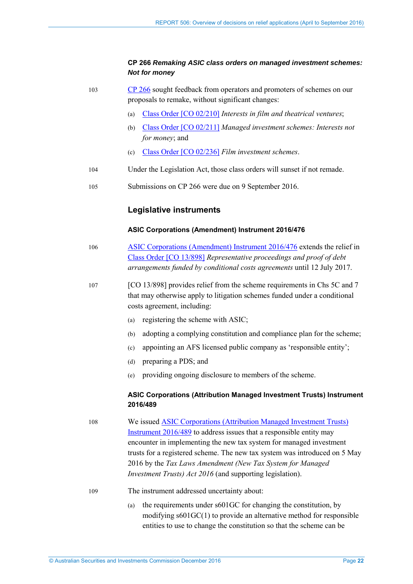### **CP 266** *Remaking ASIC class orders on managed investment schemes: Not for money*

- 103 [CP 266](http://asic.gov.au/regulatory-resources/find-a-document/consultation-papers/cp-266-remaking-asic-class-orders-on-managed-investment-schemes-not-for-money/) sought feedback from operators and promoters of schemes on our proposals to remake, without significant changes:
	- (a) Class [Order \[CO 02/210\]](https://www.legislation.gov.au/Details/F2007B00375) *Interests in film and theatrical ventures*;
	- (b) Class [Order \[CO 02/211\]](https://www.legislation.gov.au/Details/F2007B00374) *Managed investment schemes: Interests not for money*; and
	- (c) Class [Order \[CO 02/236\]](https://www.legislation.gov.au/Details/F2007B00248) *Film investment schemes*.
- 104 Under the Legislation Act, those class orders will sunset if not remade.
- 105 Submissions on CP 266 were due on 9 September 2016.

### **Legislative instruments**

#### **ASIC Corporations (Amendment) Instrument 2016/476**

- 106 [ASIC Corporations \(Amendment\) Instrument 2016/476](https://www.legislation.gov.au/Details/F2016L01170) extends the relief in Class [Order \[CO 13/898\]](https://www.legislation.gov.au/Details/F2016C00732) *Representative proceedings and proof of debt arrangements funded by conditional costs agreements* until 12 July 2017.
- 107 [CO 13/898] provides relief from the scheme requirements in Chs 5C and 7 that may otherwise apply to litigation schemes funded under a conditional costs agreement, including:
	- (a) registering the scheme with ASIC;
	- (b) adopting a complying constitution and compliance plan for the scheme;
	- (c) appointing an AFS licensed public company as 'responsible entity';
	- (d) preparing a PDS; and
	- (e) providing ongoing disclosure to members of the scheme.

#### **ASIC Corporations (Attribution Managed Investment Trusts) Instrument 2016/489**

108 We issued [ASIC Corporations \(Attribution Managed Investment Trusts\)](https://www.legislation.gov.au/Details/F2016C00648)  [Instrument 2016/489](https://www.legislation.gov.au/Details/F2016C00648) to address issues that a responsible entity may encounter in implementing the new tax system for managed investment trusts for a registered scheme. The new tax system was introduced on 5 May 2016 by the *Tax Laws Amendment (New Tax System for Managed Investment Trusts) Act 2016* (and supporting legislation).

- 109 The instrument addressed uncertainty about:
	- (a) the requirements under s601GC for changing the constitution, by modifying s601GC(1) to provide an alternative method for responsible entities to use to change the constitution so that the scheme can be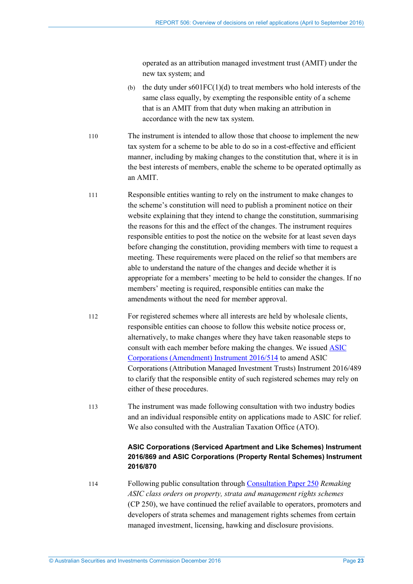operated as an attribution managed investment trust (AMIT) under the new tax system; and

- (b) the duty under  $s601FC(1)(d)$  to treat members who hold interests of the same class equally, by exempting the responsible entity of a scheme that is an AMIT from that duty when making an attribution in accordance with the new tax system.
- 110 The instrument is intended to allow those that choose to implement the new tax system for a scheme to be able to do so in a cost-effective and efficient manner, including by making changes to the constitution that, where it is in the best interests of members, enable the scheme to be operated optimally as an AMIT.
- 111 Responsible entities wanting to rely on the instrument to make changes to the scheme's constitution will need to publish a prominent notice on their website explaining that they intend to change the constitution, summarising the reasons for this and the effect of the changes. The instrument requires responsible entities to post the notice on the website for at least seven days before changing the constitution, providing members with time to request a meeting. These requirements were placed on the relief so that members are able to understand the nature of the changes and decide whether it is appropriate for a members' meeting to be held to consider the changes. If no members' meeting is required, responsible entities can make the amendments without the need for member approval.
- 112 For registered schemes where all interests are held by wholesale clients, responsible entities can choose to follow this website notice process or, alternatively, to make changes where they have taken reasonable steps to consult with each member before making the changes. We issued [ASIC](https://www.legislation.gov.au/Details/F2016L01064)  [Corporations \(Amendment\) Instrument 2016/514](https://www.legislation.gov.au/Details/F2016L01064) to amend ASIC Corporations (Attribution Managed Investment Trusts) Instrument 2016/489 to clarify that the responsible entity of such registered schemes may rely on either of these procedures.
- 113 The instrument was made following consultation with two industry bodies and an individual responsible entity on applications made to ASIC for relief. We also consulted with the Australian Taxation Office (ATO).

## **ASIC Corporations (Serviced Apartment and Like Schemes) Instrument 2016/869 and ASIC Corporations (Property Rental Schemes) Instrument 2016/870**

114 Following public consultation through [Consultation Paper 250](http://www.asic.gov.au/regulatory-resources/find-a-document/consultation-papers/cp-250-remaking-asic-class-orders-on-property-strata-and-management-rights-schemes/) *Remaking ASIC class orders on property, strata and management rights schemes* (CP 250), we have continued the relief available to operators, promoters and developers of strata schemes and management rights schemes from certain managed investment, licensing, hawking and disclosure provisions.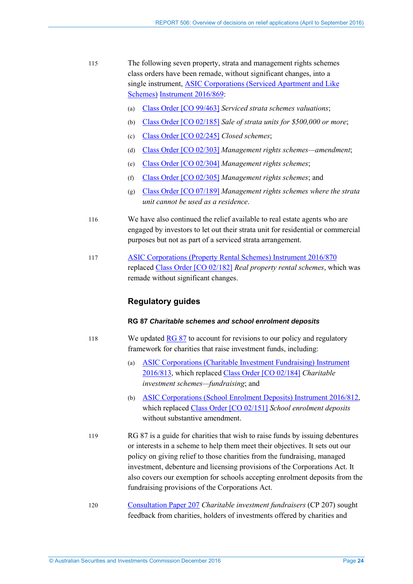- 115 The following seven property, strata and management rights schemes class orders have been remade, without significant changes, into a single instr[ument, ASIC Corporations \(Serviced](https://www.legislation.gov.au/Details/F2016L01476) Apartment and Like Schemes) [Instrument](https://www.legislation.gov.au/Details/F2016L01476) 2016/869:
	- (a) Class [Order \[CO 99/463\]](https://www.legislation.gov.au/Details/F2008B00017) *Serviced strata schemes valuations*;
	- (b) Class [Order \[CO 02/185\]](https://www.legislation.gov.au/Details/F2008B00021) *Sale of strata units for \$500,000 or more*;
	- (c) Class [Order \[CO 02/245\]](https://www.legislation.gov.au/Details/F2007B00073) *Closed schemes*;
	- (d) Class [Order \[CO 02/303\]](https://www.legislation.gov.au/Details/F2007B00623) *Management rights schemes—amendment*;
	- (e) Class [Order \[CO 02/304\]](https://www.legislation.gov.au/Details/F2006B01578) *Management rights schemes*;
	- (f) Class [Order \[CO 02/305\]](https://www.legislation.gov.au/Details/F2006B01582) *Management rights schemes*; and
	- (g) Class [Order \[CO 07/189\]](https://www.legislation.gov.au/Details/F2007L00914) *Management rights schemes where the strata unit cannot be used as a residence*.
- 116 We have also continued the relief available to real estate agents who are engaged by investors to let out their strata unit for residential or commercial purposes but not as part of a serviced strata arrangement.
- 117 [ASIC Corporations \(Property Rental Schemes\) Instrument 2016/870](https://www.legislation.gov.au/Details/F2016L01474) replaced Class [Order \[CO 02/182\]](https://www.legislation.gov.au/Details/F2007B00608) *Real property rental schemes*, which was remade without significant changes.

## **Regulatory guides**

#### **RG 87** *Charitable schemes and school enrolment deposits*

- 118 We updated [RG 87](http://asic.gov.au/regulatory-resources/find-a-document/regulatory-guides/rg-87-charitable-schemes-and-school-enrolment-deposits/) to account for revisions to our policy and regulatory framework for charities that raise investment funds, including:
	- (a) [ASIC Corporations \(Charitable Investment Fundraising\) Instrument](https://www.legislation.gov.au/Details/F2016L01532)  [2016/813,](https://www.legislation.gov.au/Details/F2016L01532) which replaced Class [Order \[CO 02/184\]](https://www.legislation.gov.au/Details/F2006B01597) *Charitable investment schemes—fundraising*; and
	- (b) [ASIC Corporations \(School Enrolment Deposits\) Instrument 2016/812,](https://www.legislation.gov.au/Details/F2016L01536) which replaced Class [Order \[CO 02/151\]](https://www.legislation.gov.au/Details/F2007B00296) *School enrolment deposits* without substantive amendment.
- 119 RG 87 is a guide for charities that wish to raise funds by issuing debentures or interests in a scheme to help them meet their objectives. It sets out our policy on giving relief to those charities from the fundraising, managed investment, debenture and licensing provisions of the Corporations Act. It also covers our exemption for schools accepting enrolment deposits from the fundraising provisions of the Corporations Act.
- 120 [Consultation Paper 207](http://www.asic.gov.au/regulatory-resources/find-a-document/consultation-papers/cp-207-charitable-investment-fundraisers/) *Charitable investment fundraisers* (CP 207) sought feedback from charities, holders of investments offered by charities and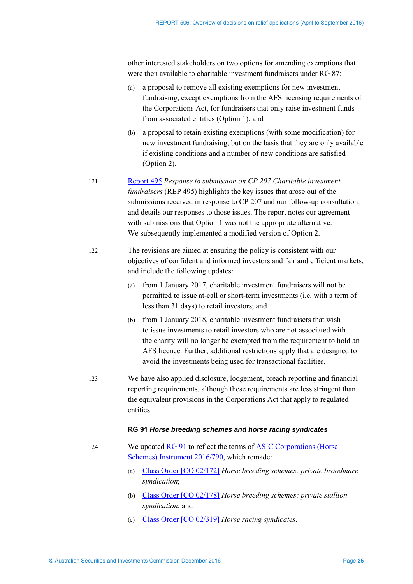other interested stakeholders on two options for amending exemptions that were then available to charitable investment fundraisers under RG 87:

- (a) a proposal to remove all existing exemptions for new investment fundraising, except exemptions from the AFS licensing requirements of the Corporations Act, for fundraisers that only raise investment funds from associated entities (Option 1); and
- (b) a proposal to retain existing exemptions (with some modification) for new investment fundraising, but on the basis that they are only available if existing conditions and a number of new conditions are satisfied (Option 2).
- 121 [Report 495](http://www.asic.gov.au/regulatory-resources/find-a-document/reports/rep-495-response-to-submissions-on-cp-207-charitable-investment-fundraisers/) *Response to submission on CP 207 Charitable investment fundraisers* (REP 495) highlights the key issues that arose out of the submissions received in response to CP 207 and our follow-up consultation, and details our responses to those issues. The report notes our agreement with submissions that Option 1 was not the appropriate alternative. We subsequently implemented a modified version of Option 2.
- 122 The revisions are aimed at ensuring the policy is consistent with our objectives of confident and informed investors and fair and efficient markets, and include the following updates:
	- (a) from 1 January 2017, charitable investment fundraisers will not be permitted to issue at-call or short-term investments (i.e. with a term of less than 31 days) to retail investors; and
	- (b) from 1 January 2018, charitable investment fundraisers that wish to issue investments to retail investors who are not associated with the charity will no longer be exempted from the requirement to hold an AFS licence. Further, additional restrictions apply that are designed to avoid the investments being used for transactional facilities.
- 123 We have also applied disclosure, lodgement, breach reporting and financial reporting requirements, although these requirements are less stringent than the equivalent provisions in the Corporations Act that apply to regulated entities.

#### **RG 91** *Horse breeding schemes and horse racing syndicates*

- 124 We updated [RG 91](http://asic.gov.au/regulatory-resources/find-a-document/regulatory-guides/rg-91-horse-breeding-schemes-and-horse-racing-syndicates/) to reflect the terms of [ASIC Corporations \(Horse](https://www.legislation.gov.au/Details/F2016L01346)  [Schemes\) Instrument 2016/790,](https://www.legislation.gov.au/Details/F2016L01346) which remade:
	- (a) Class [Order \[CO 02/172\]](https://www.legislation.gov.au/Details/F2007B00636) *Horse breeding schemes: private broodmare syndication*;
	- (b) Class [Order \[CO 02/178\]](https://www.legislation.gov.au/Details/F2007B00675) *Horse breeding schemes: private stallion syndication*; and
	- (c) [Class Order \[CO 02/319\]](https://www.legislation.gov.au/Details/F2006B01668) *Horse racing syndicates*.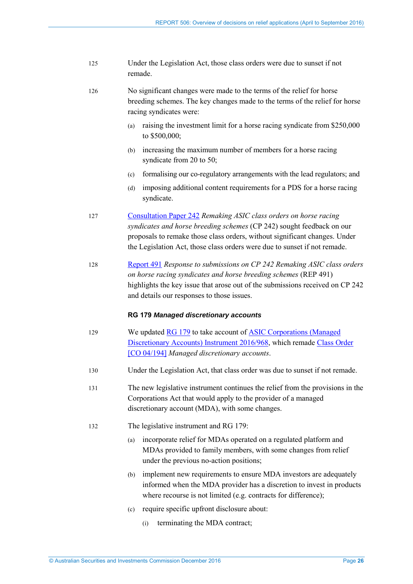125 Under the Legislation Act, those class orders were due to sunset if not remade.

126 No significant changes were made to the terms of the relief for horse breeding schemes. The key changes made to the terms of the relief for horse racing syndicates were:

- (a) raising the investment limit for a horse racing syndicate from \$250,000 to \$500,000;
- (b) increasing the maximum number of members for a horse racing syndicate from 20 to 50;
- (c) formalising our co-regulatory arrangements with the lead regulators; and
- (d) imposing additional content requirements for a PDS for a horse racing syndicate.
- 127 [Consultation Paper 242](http://asic.gov.au/regulatory-resources/find-a-document/consultation-papers/cp-242-remaking-asic-class-orders-on-horse-racing-syndicates-and-horse-breeding-schemes/) *Remaking ASIC class orders on horse racing syndicates and horse breeding schemes* (CP 242) sought feedback on our proposals to remake those class orders, without significant changes. Under the Legislation Act, those class orders were due to sunset if not remade.
- 128 [Report 491](http://asic.gov.au/regulatory-resources/find-a-document/reports/rep-491-response-to-submissions-on-cp-242-remaking-asic-class-orders-on-horse-racing-syndicates-and-horse-breeding-schemes/) *Response to submissions on CP 242 Remaking ASIC class orders on horse racing syndicates and horse breeding schemes* (REP 491) highlights the key issue that arose out of the submissions received on CP 242 and details our responses to those issues.

#### **RG 179** *Managed discretionary accounts*

- 129 We updated [RG 179](http://asic.gov.au/regulatory-resources/find-a-document/regulatory-guides/rg-179-managed-discretionary-account-services/) to take account of [ASIC Corporations \(Managed](https://www.legislation.gov.au/Details/F2016L01565)  [Discretionary Accounts\) Instrument 2016/968,](https://www.legislation.gov.au/Details/F2016L01565) which remade Class [Order](https://www.legislation.gov.au/Details/F2006B00589)  [\[CO 04/194\]](https://www.legislation.gov.au/Details/F2006B00589) *Managed discretionary accounts*.
- 130 Under the Legislation Act, that class order was due to sunset if not remade.
- 131 The new legislative instrument continues the relief from the provisions in the Corporations Act that would apply to the provider of a managed discretionary account (MDA), with some changes.
- 132 The legislative instrument and RG 179:
	- (a) incorporate relief for MDAs operated on a regulated platform and MDAs provided to family members, with some changes from relief under the previous no-action positions;
	- (b) implement new requirements to ensure MDA investors are adequately informed when the MDA provider has a discretion to invest in products where recourse is not limited (e.g. contracts for difference);
	- (c) require specific upfront disclosure about:
		- (i) terminating the MDA contract;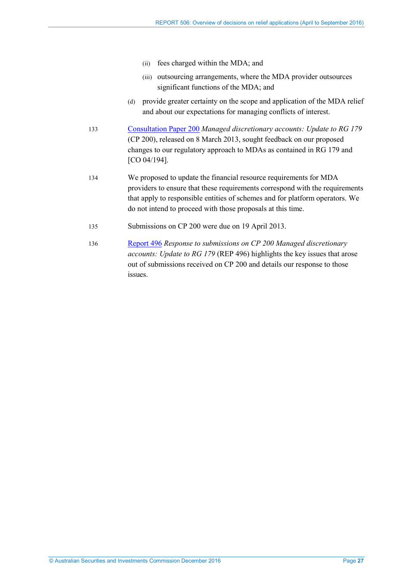- (ii) fees charged within the MDA; and
- (iii) outsourcing arrangements, where the MDA provider outsources significant functions of the MDA; and
- (d) provide greater certainty on the scope and application of the MDA relief and about our expectations for managing conflicts of interest.
- 133 [Consultation Paper 200](http://asic.gov.au/regulatory-resources/find-a-document/consultation-papers/cp-200-managed-discretionary-accounts-updates-to-rg-179/) *Managed discretionary accounts: Update to RG 179* (CP 200), released on 8 March 2013, sought feedback on our proposed changes to our regulatory approach to MDAs as contained in RG 179 and [CO 04/194].
- 134 We proposed to update the financial resource requirements for MDA providers to ensure that these requirements correspond with the requirements that apply to responsible entities of schemes and for platform operators. We do not intend to proceed with those proposals at this time.
- 135 Submissions on CP 200 were due on 19 April 2013.
- 136 [Report 496](http://asic.gov.au/regulatory-resources/find-a-document/reports/rep-496-response-to-submissions-on-cp-200-managed-discretionary-accounts-update-to-rg-179/) *Response to submissions on CP 200 Managed discretionary accounts: Update to RG 179* (REP 496) highlights the key issues that arose out of submissions received on CP 200 and details our response to those issues.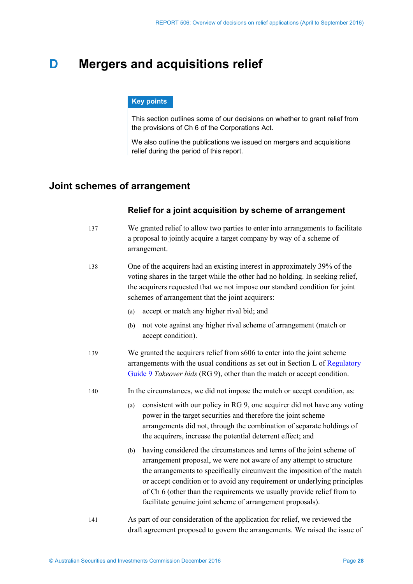# <span id="page-27-2"></span><span id="page-27-0"></span>**D Mergers and acquisitions relief**

#### **Key points**

This section outlines some of our decisions on whether to grant relief from the provisions of Ch 6 of the Corporations Act.

We also outline the publications we issued on mergers and acquisitions relief during the period of this report.

# <span id="page-27-1"></span>**Joint schemes of arrangement**

### **Relief for a joint acquisition by scheme of arrangement**

- 137 We granted relief to allow two parties to enter into arrangements to facilitate a proposal to jointly acquire a target company by way of a scheme of arrangement.
- 138 One of the acquirers had an existing interest in approximately 39% of the voting shares in the target while the other had no holding. In seeking relief, the acquirers requested that we not impose our standard condition for joint schemes of arrangement that the joint acquirers:
	- (a) accept or match any higher rival bid; and
	- (b) not vote against any higher rival scheme of arrangement (match or accept condition).
- <span id="page-27-3"></span>139 We granted the acquirers relief from s606 to enter into the joint scheme arrangements with the usual conditions as set out in Section L of Regulatory [Guide 9](http://asic.gov.au/regulatory-resources/find-a-document/regulatory-guides/rg-9-takeover-bids/) *Takeover bids* (RG 9), other than the match or accept condition.
- 140 In the circumstances, we did not impose the match or accept condition, as:
	- (a) consistent with our policy in RG 9, one acquirer did not have any voting power in the target securities and therefore the joint scheme arrangements did not, through the combination of separate holdings of the acquirers, increase the potential deterrent effect; and
	- (b) having considered the circumstances and terms of the joint scheme of arrangement proposal, we were not aware of any attempt to structure the arrangements to specifically circumvent the imposition of the match or accept condition or to avoid any requirement or underlying principles of Ch 6 (other than the requirements we usually provide relief from to facilitate genuine joint scheme of arrangement proposals).
- 141 As part of our consideration of the application for relief, we reviewed the draft agreement proposed to govern the arrangements. We raised the issue of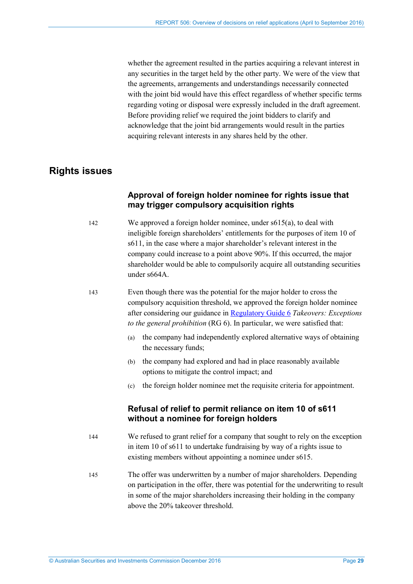whether the agreement resulted in the parties acquiring a relevant interest in any securities in the target held by the other party. We were of the view that the agreements, arrangements and understandings necessarily connected with the joint bid would have this effect regardless of whether specific terms regarding voting or disposal were expressly included in the draft agreement. Before providing relief we required the joint bidders to clarify and acknowledge that the joint bid arrangements would result in the parties acquiring relevant interests in any shares held by the other.

# <span id="page-28-0"></span>**Rights issues**

# **Approval of foreign holder nominee for rights issue that may trigger compulsory acquisition rights**

142 We approved a foreign holder nominee, under s615(a), to deal with ineligible foreign shareholders' entitlements for the purposes of item 10 of s611, in the case where a major shareholder's relevant interest in the company could increase to a point above 90%. If this occurred, the major shareholder would be able to compulsorily acquire all outstanding securities under s664A.

143 Even though there was the potential for the major holder to cross the compulsory acquisition threshold, we approved the foreign holder nominee after considering our guidance in [Regulatory Guide 6](http://asic.gov.au/regulatory-resources/find-a-document/regulatory-guides/rg-6-takeovers-exceptions-to-the-general-prohibition/) *Takeovers: Exceptions to the general prohibition* (RG 6). In particular, we were satisfied that:

- (a) the company had independently explored alternative ways of obtaining the necessary funds;
- (b) the company had explored and had in place reasonably available options to mitigate the control impact; and
- (c) the foreign holder nominee met the requisite criteria for appointment.

# **Refusal of relief to permit reliance on item 10 of s611 without a nominee for foreign holders**

- 144 We refused to grant relief for a company that sought to rely on the exception in item 10 of s611 to undertake fundraising by way of a rights issue to existing members without appointing a nominee under s615.
- 145 The offer was underwritten by a number of major shareholders. Depending on participation in the offer, there was potential for the underwriting to result in some of the major shareholders increasing their holding in the company above the 20% takeover threshold.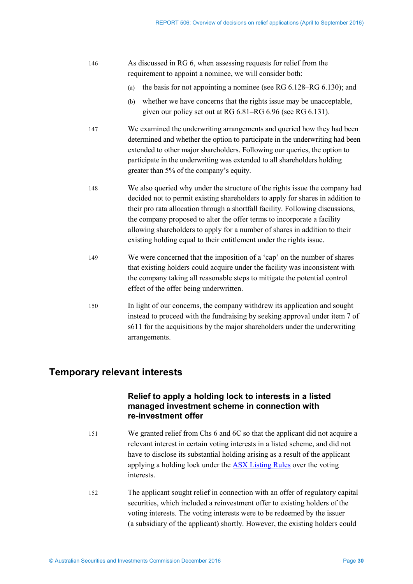- 146 As discussed in RG 6, when assessing requests for relief from the requirement to appoint a nominee, we will consider both:
	- (a) the basis for not appointing a nominee (see RG 6.128–RG 6.130); and
	- (b) whether we have concerns that the rights issue may be unacceptable, given our policy set out at RG 6.81–RG 6.96 (see RG 6.131).
- 147 We examined the underwriting arrangements and queried how they had been determined and whether the option to participate in the underwriting had been extended to other major shareholders. Following our queries, the option to participate in the underwriting was extended to all shareholders holding greater than 5% of the company's equity.
- 148 We also queried why under the structure of the rights issue the company had decided not to permit existing shareholders to apply for shares in addition to their pro rata allocation through a shortfall facility. Following discussions, the company proposed to alter the offer terms to incorporate a facility allowing shareholders to apply for a number of shares in addition to their existing holding equal to their entitlement under the rights issue.
- <span id="page-29-1"></span>149 We were concerned that the imposition of a 'cap' on the number of shares that existing holders could acquire under the facility was inconsistent with the company taking all reasonable steps to mitigate the potential control effect of the offer being underwritten.
- 150 In light of our concerns, the company withdrew its application and sought instead to proceed with the fundraising by seeking approval under item 7 of s611 for the acquisitions by the major shareholders under the underwriting arrangements.

# <span id="page-29-0"></span>**Temporary relevant interests**

# **Relief to apply a holding lock to interests in a listed managed investment scheme in connection with re-investment offer**

- 151 We granted relief from Chs 6 and 6C so that the applicant did not acquire a relevant interest in certain voting interests in a listed scheme, and did not have to disclose its substantial holding arising as a result of the applicant applying a holding lock under the [ASX Listing Rules](http://www.asx.com.au/regulation/rules/asx-listing-rules.htm) over the voting interests.
- 152 The applicant sought relief in connection with an offer of regulatory capital securities, which included a reinvestment offer to existing holders of the voting interests. The voting interests were to be redeemed by the issuer (a subsidiary of the applicant) shortly. However, the existing holders could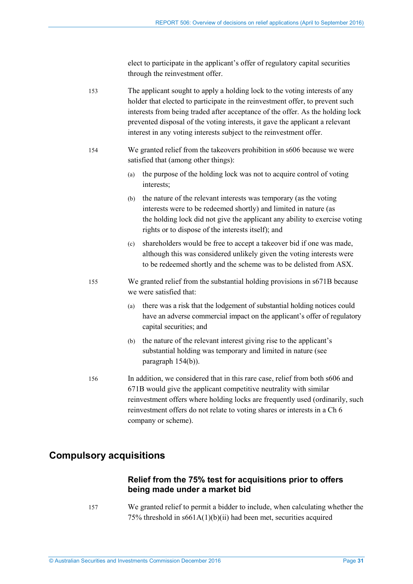elect to participate in the applicant's offer of regulatory capital securities through the reinvestment offer.

153 The applicant sought to apply a holding lock to the voting interests of any holder that elected to participate in the reinvestment offer, to prevent such interests from being traded after acceptance of the offer. As the holding lock prevented disposal of the voting interests, it gave the applicant a relevant interest in any voting interests subject to the reinvestment offer.

- <span id="page-30-2"></span><span id="page-30-1"></span>154 We granted relief from the takeovers prohibition in s606 because we were satisfied that (among other things):
	- (a) the purpose of the holding lock was not to acquire control of voting interests;
	- (b) the nature of the relevant interests was temporary (as the voting interests were to be redeemed shortly) and limited in nature (as the holding lock did not give the applicant any ability to exercise voting rights or to dispose of the interests itself); and
	- (c) shareholders would be free to accept a takeover bid if one was made, although this was considered unlikely given the voting interests were to be redeemed shortly and the scheme was to be delisted from ASX.
- <span id="page-30-3"></span>155 We granted relief from the substantial holding provisions in s671B because we were satisfied that:
	- (a) there was a risk that the lodgement of substantial holding notices could have an adverse commercial impact on the applicant's offer of regulatory capital securities; and
	- (b) the nature of the relevant interest giving rise to the applicant's substantial holding was temporary and limited in nature (see paragraph [154\(b\)\)](#page-30-1).
- 156 In addition, we considered that in this rare case, relief from both s606 and 671B would give the applicant competitive neutrality with similar reinvestment offers where holding locks are frequently used (ordinarily, such reinvestment offers do not relate to voting shares or interests in a Ch 6 company or scheme).

# <span id="page-30-0"></span>**Compulsory acquisitions**

## **Relief from the 75% test for acquisitions prior to offers being made under a market bid**

157 We granted relief to permit a bidder to include, when calculating whether the 75% threshold in s661A(1)(b)(ii) had been met, securities acquired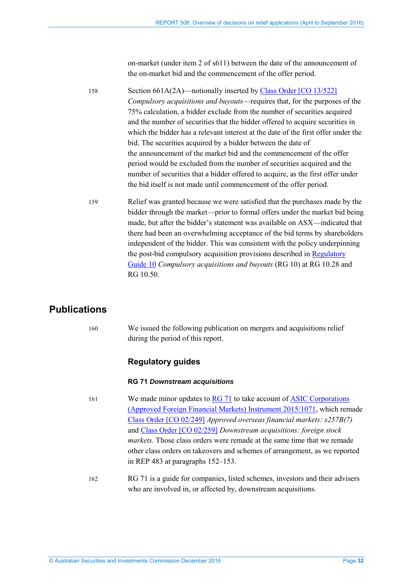on-market (under item 2 of s611) between the date of the announcement of the on-market bid and the commencement of the offer period.

<span id="page-31-1"></span>158 Section 661A(2A)—notionally inserted by Class [Order \[CO 13/522\]](https://www.legislation.gov.au/Details/F2013L01101) *Compulsory acquisitions and buyouts*—requires that, for the purposes of the 75% calculation, a bidder exclude from the number of securities acquired and the number of securities that the bidder offered to acquire securities in which the bidder has a relevant interest at the date of the first offer under the bid. The securities acquired by a bidder between the date of the announcement of the market bid and the commencement of the offer period would be excluded from the number of securities acquired and the number of securities that a bidder offered to acquire, as the first offer under the bid itself is not made until commencement of the offer period.

159 Relief was granted because we were satisfied that the purchases made by the bidder through the market—prior to formal offers under the market bid being made, but after the bidder's statement was available on ASX—indicated that there had been an overwhelming acceptance of the bid terms by shareholders independent of the bidder. This was consistent with the policy underpinning the post-bid compulsory acquisition provisions described in Regulatory [Guide 10](http://asic.gov.au/regulatory-resources/find-a-document/regulatory-guides/rg-10-compulsory-acquisitions-and-buyouts/) *Compulsory acquisitions and buyouts* (RG 10) at RG 10.28 and RG 10.50.

# <span id="page-31-0"></span>**Publications**

160 We issued the following publication on mergers and acquisitions relief during the period of this report.

# **Regulatory guides**

### **RG 71** *Downstream acquisitions*

161 We made minor updates to [RG 71](http://asic.gov.au/regulatory-resources/find-a-document/regulatory-guides/rg-71-downstream-acquisitions/) to take account of ASIC Corporations [\(Approved Foreign Financial Markets\) Instrument 2015/1071,](https://www.legislation.gov.au/Details/F2015L01988) which remade Class [Order \[CO 02/249\]](https://www.legislation.gov.au/Details/F2007B00252) *Approved overseas financial markets: s257B(7)* and [Class Order \[CO 02/259\]](https://www.legislation.gov.au/Details/F2006B00567) *Downstream acquisitions: foreign stock markets*. Those class orders were remade at the same time that we remade other class orders on takeovers and schemes of arrangement, as we reported in REP 483 at paragraphs 152–153.

162 RG 71 is a guide for companies, listed schemes, investors and their advisers who are involved in, or affected by, downstream acquisitions.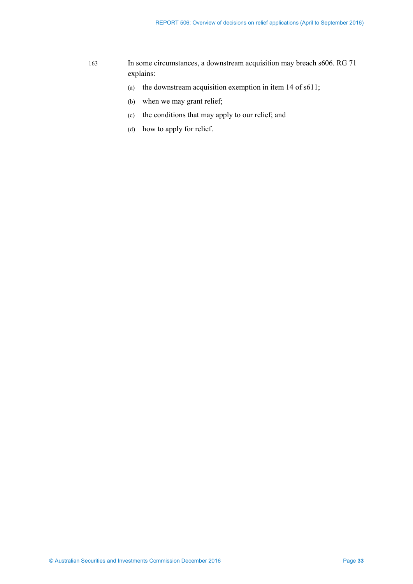- 163 In some circumstances, a downstream acquisition may breach s606. RG 71 explains:
	- (a) the downstream acquisition exemption in item 14 of s611;
	- (b) when we may grant relief;
	- (c) the conditions that may apply to our relief; and
	- (d) how to apply for relief.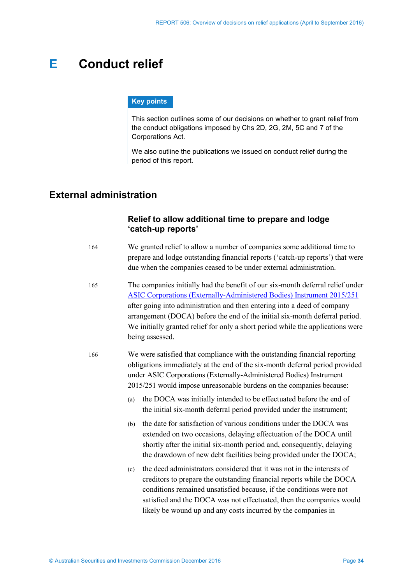# <span id="page-33-0"></span>**E Conduct relief**

### **Key points**

This section outlines some of our decisions on whether to grant relief from the conduct obligations imposed by Chs 2D, 2G, 2M, 5C and 7 of the Corporations Act.

We also outline the publications we issued on conduct relief during the period of this report.

# <span id="page-33-1"></span>**External administration**

## **Relief to allow additional time to prepare and lodge 'catch-up reports'**

- 164 We granted relief to allow a number of companies some additional time to prepare and lodge outstanding financial reports ('catch-up reports') that were due when the companies ceased to be under external administration.
- 165 The companies initially had the benefit of our six-month deferral relief under [ASIC Corporations \(Externally-Administered Bodies\) Instrument 2015/251](https://www.legislation.gov.au/Details/F2015C00583) after going into administration and then entering into a deed of company arrangement (DOCA) before the end of the initial six-month deferral period. We initially granted relief for only a short period while the applications were being assessed.
- 166 We were satisfied that compliance with the outstanding financial reporting obligations immediately at the end of the six-month deferral period provided under ASIC Corporations (Externally-Administered Bodies) Instrument 2015/251 would impose unreasonable burdens on the companies because:
	- (a) the DOCA was initially intended to be effectuated before the end of the initial six-month deferral period provided under the instrument;
	- (b) the date for satisfaction of various conditions under the DOCA was extended on two occasions, delaying effectuation of the DOCA until shortly after the initial six-month period and, consequently, delaying the drawdown of new debt facilities being provided under the DOCA;
	- (c) the deed administrators considered that it was not in the interests of creditors to prepare the outstanding financial reports while the DOCA conditions remained unsatisfied because, if the conditions were not satisfied and the DOCA was not effectuated, then the companies would likely be wound up and any costs incurred by the companies in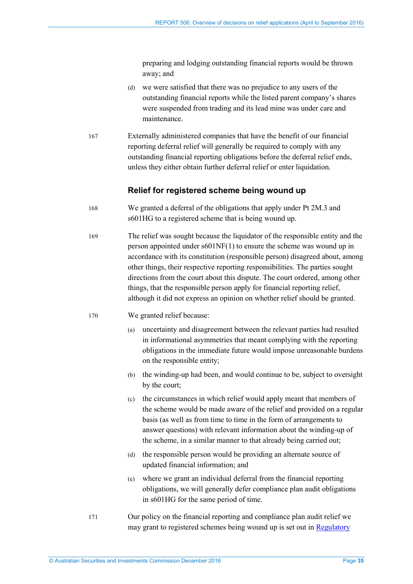preparing and lodging outstanding financial reports would be thrown away; and

- <span id="page-34-0"></span>(d) we were satisfied that there was no prejudice to any users of the outstanding financial reports while the listed parent company's shares were suspended from trading and its lead mine was under care and maintenance.
- 167 Externally administered companies that have the benefit of our financial reporting deferral relief will generally be required to comply with any outstanding financial reporting obligations before the deferral relief ends, unless they either obtain further deferral relief or enter liquidation.

### **Relief for registered scheme being wound up**

- 168 We granted a deferral of the obligations that apply under Pt 2M.3 and s601HG to a registered scheme that is being wound up.
- 169 The relief was sought because the liquidator of the responsible entity and the person appointed under s601NF(1) to ensure the scheme was wound up in accordance with its constitution (responsible person) disagreed about, among other things, their respective reporting responsibilities. The parties sought directions from the court about this dispute. The court ordered, among other things, that the responsible person apply for financial reporting relief, although it did not express an opinion on whether relief should be granted.

#### 170 We granted relief because:

- (a) uncertainty and disagreement between the relevant parties had resulted in informational asymmetries that meant complying with the reporting obligations in the immediate future would impose unreasonable burdens on the responsible entity;
- (b) the winding-up had been, and would continue to be, subject to oversight by the court;
- (c) the circumstances in which relief would apply meant that members of the scheme would be made aware of the relief and provided on a regular basis (as well as from time to time in the form of arrangements to answer questions) with relevant information about the winding-up of the scheme, in a similar manner to that already being carried out;
- (d) the responsible person would be providing an alternate source of updated financial information; and
- (e) where we grant an individual deferral from the financial reporting obligations, we will generally defer compliance plan audit obligations in s601HG for the same period of time.
- 171 Our policy on the financial reporting and compliance plan audit relief we may grant to registered schemes being wound up is set out in [Regulatory](http://asic.gov.au/regulatory-resources/find-a-document/regulatory-guides/rg-174-relief-for-externally-administered-companies-and-registered-schemes-being-wound-up/)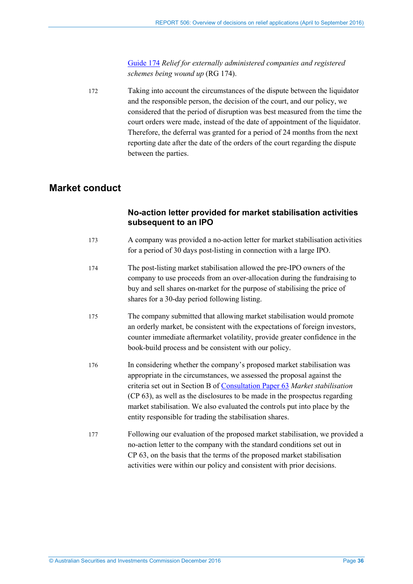<span id="page-35-1"></span>[Guide 174](http://asic.gov.au/regulatory-resources/find-a-document/regulatory-guides/rg-174-relief-for-externally-administered-companies-and-registered-schemes-being-wound-up/) *Relief for externally administered companies and registered schemes being wound up* (RG 174).

172 Taking into account the circumstances of the dispute between the liquidator and the responsible person, the decision of the court, and our policy, we considered that the period of disruption was best measured from the time the court orders were made, instead of the date of appointment of the liquidator. Therefore, the deferral was granted for a period of 24 months from the next reporting date after the date of the orders of the court regarding the dispute between the parties.

# <span id="page-35-0"></span>**Market conduct**

## **No-action letter provided for market stabilisation activities subsequent to an IPO**

- 173 A company was provided a no-action letter for market stabilisation activities for a period of 30 days post-listing in connection with a large IPO.
- 174 The post-listing market stabilisation allowed the pre-IPO owners of the company to use proceeds from an over-allocation during the fundraising to buy and sell shares on-market for the purpose of stabilising the price of shares for a 30-day period following listing.
- 175 The company submitted that allowing market stabilisation would promote an orderly market, be consistent with the expectations of foreign investors, counter immediate aftermarket volatility, provide greater confidence in the book-build process and be consistent with our policy.
- 176 In considering whether the company's proposed market stabilisation was appropriate in the circumstances, we assessed the proposal against the criteria set out in Section B of [Consultation Paper 63](http://asic.gov.au/regulatory-resources/find-a-document/consultation-papers/cp-63-market-stabilisation/) *Market stabilisation* (CP 63), as well as the disclosures to be made in the prospectus regarding market stabilisation. We also evaluated the controls put into place by the entity responsible for trading the stabilisation shares.
- 177 Following our evaluation of the proposed market stabilisation, we provided a no-action letter to the company with the standard conditions set out in CP 63, on the basis that the terms of the proposed market stabilisation activities were within our policy and consistent with prior decisions.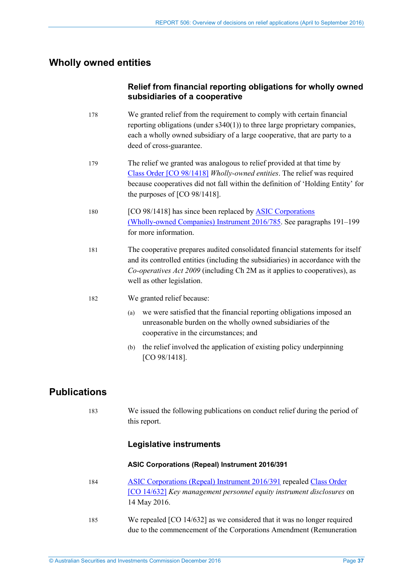# <span id="page-36-0"></span>**Wholly owned entities**

# **Relief from financial reporting obligations for wholly owned subsidiaries of a cooperative**

- 178 We granted relief from the requirement to comply with certain financial reporting obligations (under s340(1)) to three large proprietary companies, each a wholly owned subsidiary of a large cooperative, that are party to a deed of cross-guarantee.
- 179 The relief we granted was analogous to relief provided at that time by Class [Order \[CO 98/1418\]](https://www.legislation.gov.au/Details/F2014C01010) *Wholly-owned entities*. The relief was required because cooperatives did not fall within the definition of 'Holding Entity' for the purposes of [CO 98/1418].
- 180 [CO 98/1418] has since been replaced by ASIC Corporations [\(Wholly-owned Companies\) Instrument 2016/785.](https://www.legislation.gov.au/Details/F2016L01538) See paragraphs [191](#page-37-0)[–199](#page-38-0) for more information.
- 181 The cooperative prepares audited consolidated financial statements for itself and its controlled entities (including the subsidiaries) in accordance with the *Co-operatives Act 2009* (including Ch 2M as it applies to cooperatives), as well as other legislation.
- 182 We granted relief because:
	- (a) we were satisfied that the financial reporting obligations imposed an unreasonable burden on the wholly owned subsidiaries of the cooperative in the circumstances; and
	- (b) the relief involved the application of existing policy underpinning [CO 98/1418].

# <span id="page-36-1"></span>**Publications**

183 We issued the following publications on conduct relief during the period of this report.

## **Legislative instruments**

#### **ASIC Corporations (Repeal) Instrument 2016/391**

- 184 [ASIC Corporations \(Repeal\) Instrument 2016/391](https://www.legislation.gov.au/Details/F2016L00793) repealed Class Order [\[CO 14/632\]](https://www.legislation.gov.au/Details/F2014L00893) *Key management personnel equity instrument disclosures* on 14 May 2016.
- 185 We repealed [CO 14/632] as we considered that it was no longer required due to the commencement of the Corporations Amendment (Remuneration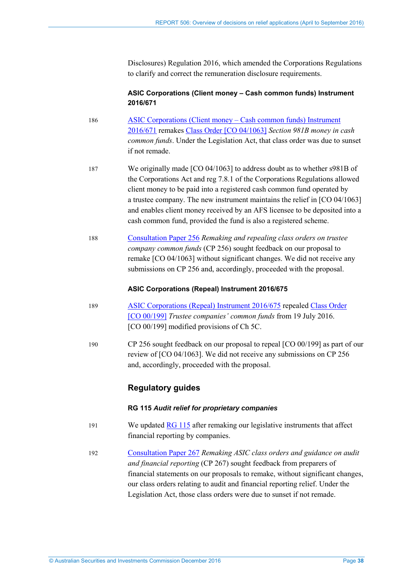Disclosures) Regulation 2016, which amended the Corporations Regulations to clarify and correct the remuneration disclosure requirements.

### **ASIC Corporations (Client money – Cash common funds) Instrument 2016/671**

- 186 [ASIC Corporations \(Client money Cash common funds\) Instrument](https://www.legislation.gov.au/Details/F2016L01183)  [2016/671](https://www.legislation.gov.au/Details/F2016L01183) remakes [Class Order \[CO](https://www.legislation.gov.au/Details/F2007B00379) 04/1063] *Section 981B money in cash common funds*. Under the Legislation Act, that class order was due to sunset if not remade.
- 187 We originally made [CO 04/1063] to address doubt as to whether s981B of the Corporations Act and reg 7.8.1 of the Corporations Regulations allowed client money to be paid into a registered cash common fund operated by a trustee company. The new instrument maintains the relief in [CO 04/1063] and enables client money received by an AFS licensee to be deposited into a cash common fund, provided the fund is also a registered scheme.
- 188 [Consultation Paper 256](http://asic.gov.au/regulatory-resources/find-a-document/consultation-papers/cp-256-remaking-and-repealing-asic-class-orders-on-trustee-company-common-funds/) *Remaking and repealing class orders on trustee company common funds* (CP 256) sought feedback on our proposal to remake [CO 04/1063] without significant changes. We did not receive any submissions on CP 256 and, accordingly, proceeded with the proposal.

### **ASIC Corporations (Repeal) Instrument 2016/675**

- 189 [ASIC Corporations \(Repeal\) Instrument 2016/675](https://www.legislation.gov.au/Details/F2016L01184) repealed Class [Order](https://www.legislation.gov.au/Series/F2006B00962)  [\[CO 00/199\]](https://www.legislation.gov.au/Series/F2006B00962) *Trustee companies' common funds* from 19 July 2016. [CO 00/199] modified provisions of Ch 5C.
- 190 CP 256 sought feedback on our proposal to repeal [CO 00/199] as part of our review of [CO 04/1063]. We did not receive any submissions on CP 256 and, accordingly, proceeded with the proposal.

# **Regulatory guides**

### **RG 115** *Audit relief for proprietary companies*

- <span id="page-37-0"></span>191 We updated [RG 115](http://asic.gov.au/regulatory-resources/find-a-document/regulatory-guides/rg-115-audit-relief-for-proprietary-companies/) after remaking our legislative instruments that affect financial reporting by companies.
- 192 [Consultation Paper 267](http://asic.gov.au/regulatory-resources/find-a-document/consultation-papers/cp-267-remaking-asic-class-orders-and-guidance-on-audit-and-financial-reporting/) *Remaking ASIC class orders and guidance on audit and financial reporting* (CP 267) sought feedback from preparers of financial statements on our proposals to remake, without significant changes, our class orders relating to audit and financial reporting relief. Under the Legislation Act, those class orders were due to sunset if not remade.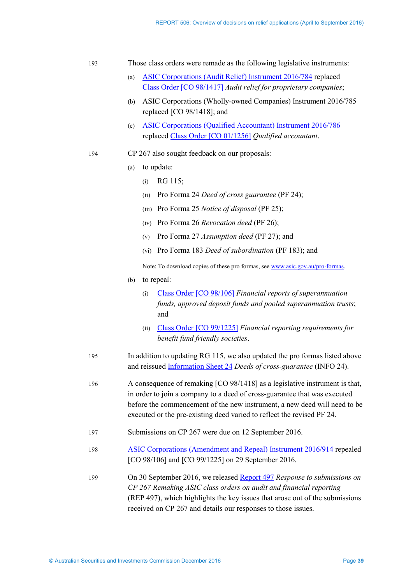| Those class orders were remade as the following legislative instruments:<br>- 193 |
|-----------------------------------------------------------------------------------|
|-----------------------------------------------------------------------------------|

- (a) [ASIC Corporations \(Audit Relief\) Instrument 2016/784](https://www.legislation.gov.au/Details/F2016L01542) replaced Class [Order \[CO 98/1417\]](https://www.legislation.gov.au/Details/F2006B01567) *Audit relief for proprietary companies*;
- (b) ASIC Corporations (Wholly-owned Companies) Instrument 2016/785 replaced [CO 98/1418]; and
- (c) [ASIC Corporations \(Qualified Accountant\) Instrument 2016/786](https://www.legislation.gov.au/Details/F2016L01541) replaced Class [Order \[CO 01/1256\]](https://www.legislation.gov.au/Details/F2007B00090) *Qualified accountant*.
- 194 CP 267 also sought feedback on our proposals:
	- (a) to update:
		- (i) RG 115;
		- (ii) Pro Forma 24 *Deed of cross guarantee* (PF 24);
		- (iii) Pro Forma 25 *Notice of disposal* (PF 25);
		- (iv) Pro Forma 26 *Revocation deed* (PF 26);
		- (v) Pro Forma 27 *Assumption deed* (PF 27); and
		- (vi) Pro Forma 183 *Deed of subordination* (PF 183); and

Note: To download copies of these pro formas, see [www.asic.gov.au/pro-formas.](http://asic.gov.au/pro-formas) 

- (b) to repeal:
	- (i) Class [Order \[CO 98/106\]](https://www.legislation.gov.au/Details/F2007B01016) *Financial reports of superannuation funds, approved deposit funds and pooled superannuation trusts*; and
	- (ii) Class [Order \[CO 99/1225\]](https://www.legislation.gov.au/Details/F2006C00279) *Financial reporting requirements for benefit fund friendly societies*.
- 195 In addition to updating RG 115, we also updated the pro formas listed above and reissue[d Information Sheet 24](http://asic.gov.au/regulatory-resources/financial-reporting-and-audit/preparers-of-financial-reports/relief-from-corporate-finance-provisions/deeds-of-cross-guarantee/) *Deeds of cross-guarantee* (INFO 24).
- 196 A consequence of remaking [CO 98/1418] as a legislative instrument is that, in order to join a company to a deed of cross-guarantee that was executed before the commencement of the new instrument, a new deed will need to be executed or the pre-existing deed varied to reflect the revised PF 24.
- 197 Submissions on CP 267 were due on 12 September 2016.
- 198 [ASIC Corporations \(Amendment and Repeal\) Instrument 2016/914](https://www.legislation.gov.au/Details/F2016L01543) repealed [CO 98/106] and [CO 99/1225] on 29 September 2016.
- <span id="page-38-0"></span>199 On 30 September 2016, we released [Report 497](http://asic.gov.au/regulatory-resources/find-a-document/reports/rep-497-response-to-submissions-on-cp-267-remaking-asic-class-orders-on-audit-and-financial-reporting/) *Response to submissions on CP 267 Remaking ASIC class orders on audit and financial reporting* (REP 497), which highlights the key issues that arose out of the submissions received on CP 267 and details our responses to those issues.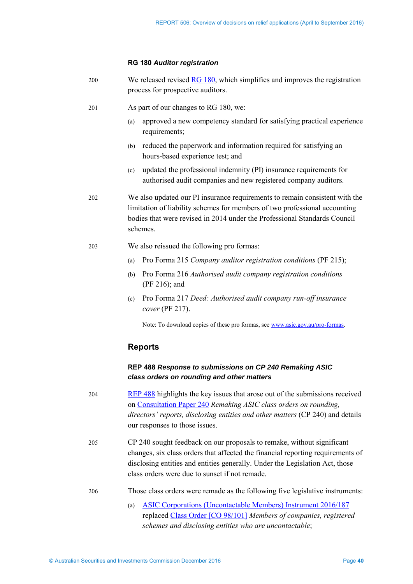#### **RG 180** *Auditor registration*

| 200 | We released revised RG 180, which simplifies and improves the registration |
|-----|----------------------------------------------------------------------------|
|     | process for prospective auditors.                                          |

- 201 As part of our changes to RG 180, we:
	- (a) approved a new competency standard for satisfying practical experience requirements;
	- (b) reduced the paperwork and information required for satisfying an hours-based experience test; and
	- (c) updated the professional indemnity (PI) insurance requirements for authorised audit companies and new registered company auditors.

202 We also updated our PI insurance requirements to remain consistent with the limitation of liability schemes for members of two professional accounting bodies that were revised in 2014 under the Professional Standards Council schemes.

- 203 We also reissued the following pro formas:
	- (a) Pro Forma 215 *Company auditor registration conditions* (PF 215);
	- (b) Pro Forma 216 *Authorised audit company registration conditions* (PF 216); and
	- (c) Pro Forma 217 *Deed: Authorised audit company run-off insurance cover* (PF 217).

Note: To download copies of these pro formas, see [www.asic.gov.au/pro-formas.](http://asic.gov.au/pro-formas) 

### **Reports**

### **REP 488** *Response to submissions on CP 240 Remaking ASIC class orders on rounding and other matters*

- 204 [REP 488](http://asic.gov.au/regulatory-resources/find-a-document/reports/rep-488-response-to-submissions-on-cp-240-remaking-asic-class-orders-on-rounding-and-other-matters/) highlights the key issues that arose out of the submissions received on [Consultation Paper 240](http://asic.gov.au/regulatory-resources/find-a-document/consultation-papers/cp-240-remaking-asic-class-orders-on-rounding-directors-reports-disclosing-entities-and-other-matters/) *Remaking ASIC class orders on rounding, directors' reports, disclosing entities and other matters* (CP 240) and details our responses to those issues.
- 205 CP 240 sought feedback on our proposals to remake, without significant changes, six class orders that affected the financial reporting requirements of disclosing entities and entities generally. Under the Legislation Act, those class orders were due to sunset if not remade.
- 206 Those class orders were remade as the following five legislative instruments:
	- (a) [ASIC Corporations \(Uncontactable Members\) Instrument 2016/187](https://www.legislation.gov.au/Details/F2016L01322) replaced Class [Order \[CO 98/101\]](https://www.legislation.gov.au/Details/F2006B00826) *Members of companies, registered schemes and disclosing entities who are uncontactable*;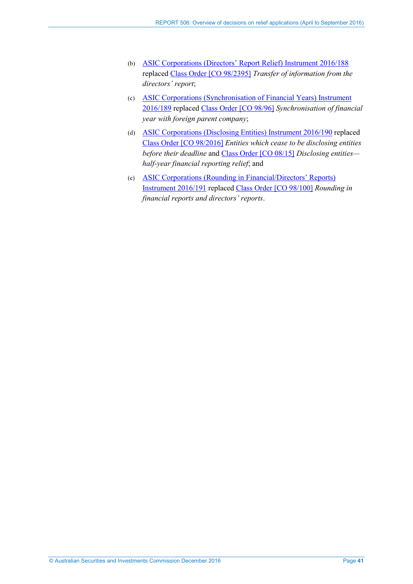- (b) [ASIC Corporations \(Directors' Report Relief\) Instrument 2016/188](https://www.legislation.gov.au/Details/F2016L01323) replaced Class [Order \[CO 98/2395\]](https://www.legislation.gov.au/Details/F2006B00220) *Transfer of information from the directors' report*;
- (c) [ASIC Corporations \(Synchronisation of Financial Years\) Instrument](https://www.legislation.gov.au/Details/F2016L01325)  [2016/189](https://www.legislation.gov.au/Details/F2016L01325) replaced Class [Order \[CO](https://www.legislation.gov.au/Details/F2007B01152) 98/96] *Synchronisation of financial year with foreign parent company*;
- (d) [ASIC Corporations \(Disclosing Entities\) Instrument 2016/190](https://www.legislation.gov.au/Details/F2016L01328) replaced Class [Order \[CO 98/2016\]](https://www.legislation.gov.au/Details/F2007B00999) *Entities which cease to be disclosing entities before their deadline* and Class [Order \[CO](https://www.legislation.gov.au/Details/F2008L00584) 08/15] *Disclosing entities half-year financial reporting relief*; and
- (e) [ASIC Corporations \(Rounding in Financial/Directors' Reports\)](https://www.legislation.gov.au/Details/F2016L00442)  [Instrument 2016/191](https://www.legislation.gov.au/Details/F2016L00442) replaced Class [Order \[CO 98/100\]](https://www.legislation.gov.au/Details/F2006B00367) *Rounding in financial reports and directors' reports*.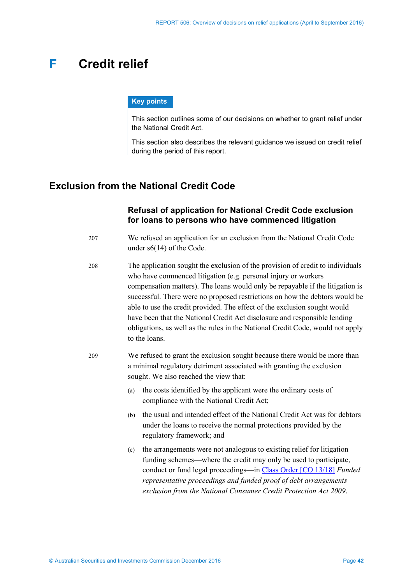# <span id="page-41-0"></span>**F Credit relief**

#### **Key points**

This section outlines some of our decisions on whether to grant relief under the National Credit Act.

This section also describes the relevant guidance we issued on credit relief during the period of this report.

# <span id="page-41-1"></span>**Exclusion from the National Credit Code**

## **Refusal of application for National Credit Code exclusion for loans to persons who have commenced litigation**

207 We refused an application for an exclusion from the National Credit Code under s6(14) of the Code.

208 The application sought the exclusion of the provision of credit to individuals who have commenced litigation (e.g. personal injury or workers compensation matters). The loans would only be repayable if the litigation is successful. There were no proposed restrictions on how the debtors would be able to use the credit provided. The effect of the exclusion sought would have been that the National Credit Act disclosure and responsible lending obligations, as well as the rules in the National Credit Code, would not apply to the loans.

- 209 We refused to grant the exclusion sought because there would be more than a minimal regulatory detriment associated with granting the exclusion sought. We also reached the view that:
	- (a) the costs identified by the applicant were the ordinary costs of compliance with the National Credit Act;
	- (b) the usual and intended effect of the National Credit Act was for debtors under the loans to receive the normal protections provided by the regulatory framework; and
	- (c) the arrangements were not analogous to existing relief for litigation funding schemes—where the credit may only be used to participate, conduct or fund legal proceedings—in Class [Order \[CO 13/18\]](https://www.legislation.gov.au/Details/F2016C00731) *Funded representative proceedings and funded proof of debt arrangements exclusion from the National Consumer Credit Protection Act 2009*.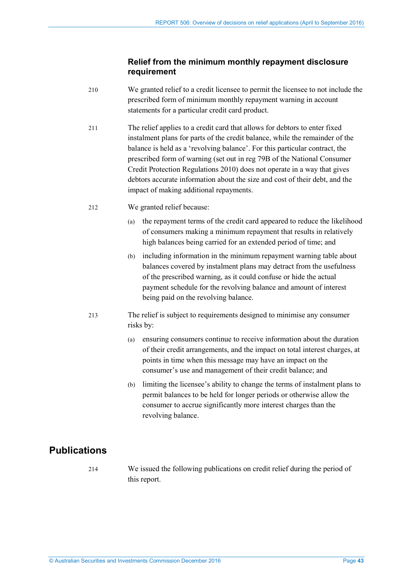## <span id="page-42-1"></span>**Relief from the minimum monthly repayment disclosure requirement**

- 210 We granted relief to a credit licensee to permit the licensee to not include the prescribed form of minimum monthly repayment warning in account statements for a particular credit card product.
- <span id="page-42-2"></span>211 The relief applies to a credit card that allows for debtors to enter fixed instalment plans for parts of the credit balance, while the remainder of the balance is held as a 'revolving balance'. For this particular contract, the prescribed form of warning (set out in reg 79B of the National Consumer Credit Protection Regulations 2010) does not operate in a way that gives debtors accurate information about the size and cost of their debt, and the impact of making additional repayments.
- 212 We granted relief because:
	- (a) the repayment terms of the credit card appeared to reduce the likelihood of consumers making a minimum repayment that results in relatively high balances being carried for an extended period of time; and
	- (b) including information in the minimum repayment warning table about balances covered by instalment plans may detract from the usefulness of the prescribed warning, as it could confuse or hide the actual payment schedule for the revolving balance and amount of interest being paid on the revolving balance.
- 213 The relief is subject to requirements designed to minimise any consumer risks by:
	- (a) ensuring consumers continue to receive information about the duration of their credit arrangements, and the impact on total interest charges, at points in time when this message may have an impact on the consumer's use and management of their credit balance; and
	- (b) limiting the licensee's ability to change the terms of instalment plans to permit balances to be held for longer periods or otherwise allow the consumer to accrue significantly more interest charges than the revolving balance.

# <span id="page-42-0"></span>**Publications**

214 We issued the following publications on credit relief during the period of this report.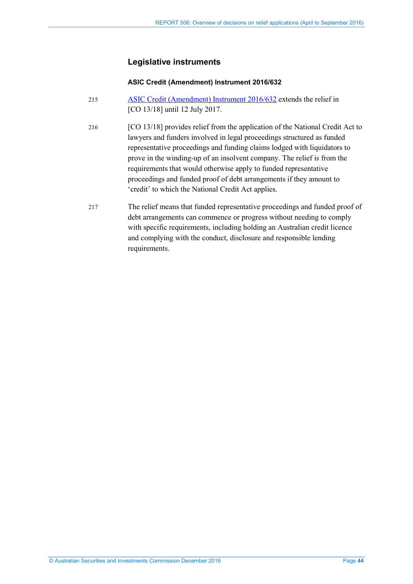# **Legislative instruments**

### **ASIC Credit (Amendment) Instrument 2016/632**

- 215 [ASIC Credit \(Amendment\) Instrument 2016/632](https://www.legislation.gov.au/Details/F2016L01171) extends the relief in [CO 13/18] until 12 July 2017.
- 216 [CO 13/18] provides relief from the application of the National Credit Act to lawyers and funders involved in legal proceedings structured as funded representative proceedings and funding claims lodged with liquidators to prove in the winding-up of an insolvent company. The relief is from the requirements that would otherwise apply to funded representative proceedings and funded proof of debt arrangements if they amount to 'credit' to which the National Credit Act applies.
- 217 The relief means that funded representative proceedings and funded proof of debt arrangements can commence or progress without needing to comply with specific requirements, including holding an Australian credit licence and complying with the conduct, disclosure and responsible lending requirements.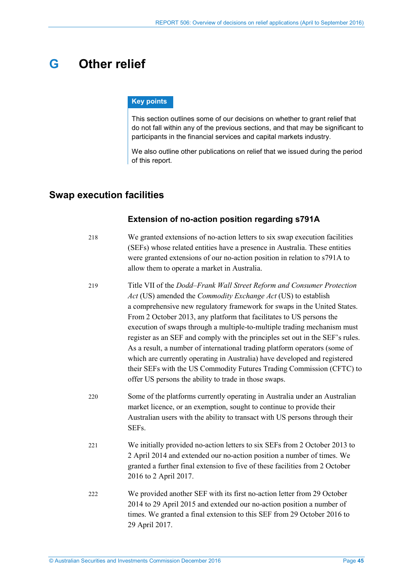# <span id="page-44-0"></span>**G Other relief**

#### **Key points**

This section outlines some of our decisions on whether to grant relief that do not fall within any of the previous sections, and that may be significant to participants in the financial services and capital markets industry.

We also outline other publications on relief that we issued during the period of this report.

# <span id="page-44-1"></span>**Swap execution facilities**

## **Extension of no-action position regarding s791A**

- 218 We granted extensions of no-action letters to six swap execution facilities (SEFs) whose related entities have a presence in Australia. These entities were granted extensions of our no-action position in relation to s791A to allow them to operate a market in Australia.
- 219 Title VII of the *Dodd–Frank Wall Street Reform and Consumer Protection Act* (US) amended the *Commodity Exchange Act* (US) to establish a comprehensive new regulatory framework for swaps in the United States. From 2 October 2013, any platform that facilitates to US persons the execution of swaps through a multiple-to-multiple trading mechanism must register as an SEF and comply with the principles set out in the SEF's rules. As a result, a number of international trading platform operators (some of which are currently operating in Australia) have developed and registered their SEFs with the US Commodity Futures Trading Commission (CFTC) to offer US persons the ability to trade in those swaps.
- 220 Some of the platforms currently operating in Australia under an Australian market licence, or an exemption, sought to continue to provide their Australian users with the ability to transact with US persons through their SEFs.
- 221 We initially provided no-action letters to six SEFs from 2 October 2013 to 2 April 2014 and extended our no-action position a number of times. We granted a further final extension to five of these facilities from 2 October 2016 to 2 April 2017.
- 222 We provided another SEF with its first no-action letter from 29 October 2014 to 29 April 2015 and extended our no-action position a number of times. We granted a final extension to this SEF from 29 October 2016 to 29 April 2017.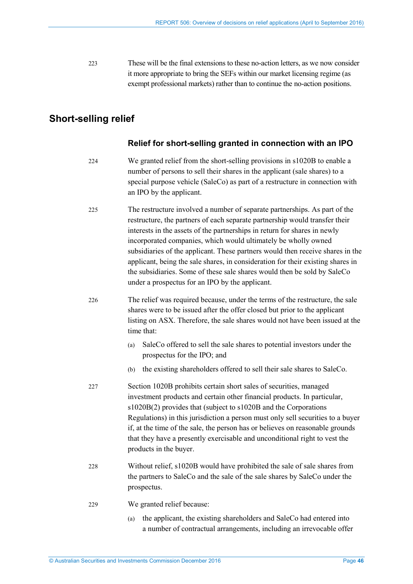<span id="page-45-1"></span>223 These will be the final extensions to these no-action letters, as we now consider it more appropriate to bring the SEFs within our market licensing regime (as exempt professional markets) rather than to continue the no-action positions.

# <span id="page-45-0"></span>**Short-selling relief**

## **Relief for short-selling granted in connection with an IPO**

- 224 We granted relief from the short-selling provisions in s1020B to enable a number of persons to sell their shares in the applicant (sale shares) to a special purpose vehicle (SaleCo) as part of a restructure in connection with an IPO by the applicant.
- 225 The restructure involved a number of separate partnerships. As part of the restructure, the partners of each separate partnership would transfer their interests in the assets of the partnerships in return for shares in newly incorporated companies, which would ultimately be wholly owned subsidiaries of the applicant. These partners would then receive shares in the applicant, being the sale shares, in consideration for their existing shares in the subsidiaries. Some of these sale shares would then be sold by SaleCo under a prospectus for an IPO by the applicant.
- <span id="page-45-2"></span>226 The relief was required because, under the terms of the restructure, the sale shares were to be issued after the offer closed but prior to the applicant listing on ASX. Therefore, the sale shares would not have been issued at the time that:
	- (a) SaleCo offered to sell the sale shares to potential investors under the prospectus for the IPO; and
	- (b) the existing shareholders offered to sell their sale shares to SaleCo.
- 227 Section 1020B prohibits certain short sales of securities, managed investment products and certain other financial products. In particular, s1020B(2) provides that (subject to s1020B and the Corporations Regulations) in this jurisdiction a person must only sell securities to a buyer if, at the time of the sale, the person has or believes on reasonable grounds that they have a presently exercisable and unconditional right to vest the products in the buyer.
- 228 Without relief, s1020B would have prohibited the sale of sale shares from the partners to SaleCo and the sale of the sale shares by SaleCo under the prospectus.
- 229 We granted relief because:
	- (a) the applicant, the existing shareholders and SaleCo had entered into a number of contractual arrangements, including an irrevocable offer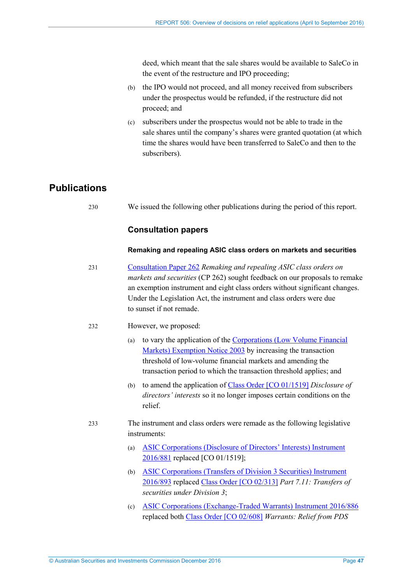deed, which meant that the sale shares would be available to SaleCo in the event of the restructure and IPO proceeding;

- (b) the IPO would not proceed, and all money received from subscribers under the prospectus would be refunded, if the restructure did not proceed; and
- (c) subscribers under the prospectus would not be able to trade in the sale shares until the company's shares were granted quotation (at which time the shares would have been transferred to SaleCo and then to the subscribers).

# <span id="page-46-0"></span>**Publications**

230 We issued the following other publications during the period of this report.

## **Consultation papers**

#### **Remaking and repealing ASIC class orders on markets and securities**

- 231 [Consultation Paper 262](http://asic.gov.au/regulatory-resources/find-a-document/consultation-papers/cp-262-remaking-and-repealing-asic-class-orders-on-markets-and-securities/) *Remaking and repealing ASIC class orders on markets and securities* (CP 262) sought feedback on our proposals to remake an exemption instrument and eight class orders without significant changes. Under the Legislation Act, the instrument and class orders were due to sunset if not remade.
- 232 However, we proposed:
	- (a) to vary the application of the [Corporations \(Low Volume Financial](https://www.legislation.gov.au/Details/F2006B00746)  [Markets\) Exemption Notice 2003](https://www.legislation.gov.au/Details/F2006B00746) by increasing the transaction threshold of low-volume financial markets and amending the transaction period to which the transaction threshold applies; and
	- (b) to amend the application of Class [Order \[CO 01/1519\]](https://www.legislation.gov.au/Details/F2007B00056) *Disclosure of directors' interests* so it no longer imposes certain conditions on the relief.
- 233 The instrument and class orders were remade as the following legislative instruments:
	- (a) [ASIC Corporations \(Disclosure of Directors' Interests\) Instrument](https://www.legislation.gov.au/Details/F2016L01478/)  [2016/881](https://www.legislation.gov.au/Details/F2016L01478/) replaced [CO 01/1519];
	- (b) [ASIC Corporations \(Transfers of Division 3 Securities\) Instrument](https://www.legislation.gov.au/Details/F2016L01479/)  [2016/893](https://www.legislation.gov.au/Details/F2016L01479/) replaced Class [Order \[CO 02/313\]](https://www.legislation.gov.au/Details/F2007B00370) *Part 7.11: Transfers of securities under Division 3*;
	- (c) [ASIC Corporations \(Exchange-Traded Warrants\) Instrument 2016/886](https://www.legislation.gov.au/Details/F2016L01489/) replaced both Class [Order \[CO 02/608\]](https://www.legislation.gov.au/Details/F2006B11721) *Warrants: Relief from PDS*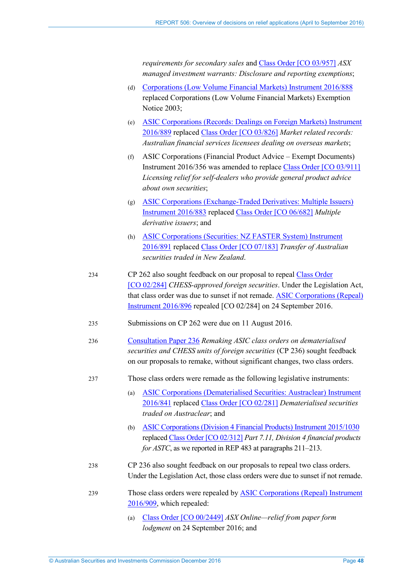*requirements for secondary sales* and Class [Order \[CO 03/957\]](https://www.legislation.gov.au/Details/F2012C00315) *ASX managed investment warrants: Disclosure and reporting exemptions*;

- (d) [Corporations \(Low Volume Financial Markets\) Instrument 2016/888](https://www.legislation.gov.au/Details/F2016L01501) replaced Corporations (Low Volume Financial Markets) Exemption Notice 2003;
- (e) [ASIC Corporations \(Records: Dealings on Foreign Markets\) Instrument](https://www.legislation.gov.au/Details/F2016L01481)  [2016/889](https://www.legislation.gov.au/Details/F2016L01481) replaced Class [Order \[CO 03/826\]](https://www.legislation.gov.au/Details/F2007B00422) *Market related records: Australian financial services licensees dealing on overseas markets*;
- (f) ASIC Corporations (Financial Product Advice Exempt Documents) Instrument 2016/356 was amended to replace Class [Order \[CO 03/911\]](https://www.legislation.gov.au/Details/F2007B00377) *Licensing relief for self-dealers who provide general product advice about own securities*;
- (g) [ASIC Corporations \(Exchange-Traded Derivatives: Multiple Issuers\)](https://www.legislation.gov.au/Details/F2016L01490)  [Instrument 2016/883](https://www.legislation.gov.au/Details/F2016L01490) replaced Class [Order \[CO 06/682\]](https://www.legislation.gov.au/Details/F2006L04175) *Multiple derivative issuers*; and
- (h) [ASIC Corporations \(Securities: NZ FASTER System\) Instrument](https://www.legislation.gov.au/Details/F2016L01485)  [2016/891](https://www.legislation.gov.au/Details/F2016L01485) replaced Class [Order \[CO 07/183\]](https://www.legislation.gov.au/Details/F2007L03538) *Transfer of Australian securities traded in New Zealand*.
- 234 CP 262 also sought feedback on our proposal to repeal Class [Order](https://www.legislation.gov.au/Details/F2006B01623)  [\[CO 02/284\]](https://www.legislation.gov.au/Details/F2006B01623) *CHESS-approved foreign securities*. Under the Legislation Act, that class order was due to sunset if not remade. [ASIC Corporations \(Repeal\)](https://www.legislation.gov.au/Details/F2016L01475)  [Instrument 2016/896](https://www.legislation.gov.au/Details/F2016L01475) repealed [CO 02/284] on 24 September 2016.
- 235 Submissions on CP 262 were due on 11 August 2016.
- 236 [Consultation Paper 236](http://asic.gov.au/regulatory-resources/find-a-document/consultation-papers/cp-236-remaking-asic-class-orders-on-dematerialised-securities-and-chess-units-of-foreign-securities/) *Remaking ASIC class orders on dematerialised securities and CHESS units of foreign securities* (CP 236) sought feedback on our proposals to remake, without significant changes, two class orders.
- 237 Those class orders were remade as the following legislative instruments:
	- (a) [ASIC Corporations \(Dematerialised Securities: Austraclear\) Instrument](https://www.legislation.gov.au/Details/F2016L01503)  [2016/841](https://www.legislation.gov.au/Details/F2016L01503) replaced Class [Order \[CO 02/281\]](https://www.legislation.gov.au/Details/F2007B00369) *Dematerialised securities traded on Austraclear*; and
	- (b) ASIC Corporations (Division [4 Financial Products\) Instrument 2015/1030](https://www.legislation.gov.au/Details/F2015L01771) replaced Class [Order \[CO](https://www.legislation.gov.au/Details/F2014C01236) 02/312] *Part 7.11, Division 4 financial products for ASTC*, as we reported in REP 483 at paragraphs 211–213.
- 238 CP 236 also sought feedback on our proposals to repeal two class orders. Under the Legislation Act, those class orders were due to sunset if not remade.
- 239 Those class orders were repealed by [ASIC Corporations \(Repeal\) Instrument](https://www.legislation.gov.au/Details/F2016L01480)  [2016/909,](https://www.legislation.gov.au/Details/F2016L01480) which repealed:
	- (a) Class [Order \[CO 00/2449\]](https://www.legislation.gov.au/Details/F2012C00370) *ASX Online—relief from paper form lodgment* on 24 September 2016; and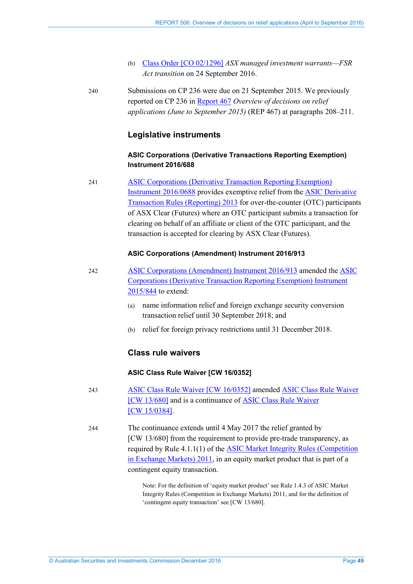- (b) Class [Order \[CO 02/1296\]](https://www.legislation.gov.au/Details/F2007B00302) *ASX managed investment warrants—FSR Act transition* on 24 September 2016.
- 240 Submissions on CP 236 were due on 21 September 2015. We previously reported on CP 236 in [Report](http://www.asic.gov.au/regulatory-resources/find-a-document/reports/rep-467-overview-of-decisions-on-relief-applications-june-to-september-2015/) 467 *Overview of decisions on relief applications (June to September 2015)* (REP 467) at paragraphs 208–211.

### **Legislative instruments**

### **ASIC Corporations (Derivative Transactions Reporting Exemption) Instrument 2016/688**

241 [ASIC Corporations \(Derivative Transaction Reporting Exemption\)](https://www.legislation.gov.au/Details/F2016L01280)  [Instrument 2016/0688](https://www.legislation.gov.au/Details/F2016L01280) provides exemptive relief from the [ASIC Derivative](https://www.legislation.gov.au/Details/F2015C00262)  [Transaction Rules \(Reporting\) 2013](https://www.legislation.gov.au/Details/F2015C00262) for over-the-counter (OTC) participants of ASX Clear (Futures) where an OTC participant submits a transaction for clearing on behalf of an affiliate or client of the OTC participant, and the transaction is accepted for clearing by ASX Clear (Futures).

### **ASIC Corporations (Amendment) Instrument 2016/913**

- 242 [ASIC Corporations \(Amendment\) Instrument 2016/913](https://www.legislation.gov.au/Details/F2016L01496) amended the [ASIC](https://www.legislation.gov.au/Details/F2016C00908)  [Corporations \(Derivative Transaction Reporting Exemption\) Instrument](https://www.legislation.gov.au/Details/F2016C00908)  [2015/844](https://www.legislation.gov.au/Details/F2016C00908) to extend:
	- (a) name information relief and foreign exchange security conversion transaction relief until 30 September 2018; and
	- (b) relief for foreign privacy restrictions until 31 December 2018.

## **Class rule waivers**

#### **ASIC Class Rule Waiver [CW 16/0352]**

243 ASIC Class [Rule Waiver \[CW 16/0352\]](https://www.legislation.gov.au/Details/F2016L00594) amended ASIC Class [Rule Waiver](https://www.legislation.gov.au/Details/F2016C00414)  [\[CW 13/680\]](https://www.legislation.gov.au/Details/F2016C00414) and is a continuance of ASIC Class [Rule Waiver](https://www.legislation.gov.au/Details/F2015L00635)  [\[CW 15/0384\].](https://www.legislation.gov.au/Details/F2015L00635)

244 The continuance extends until 4 May 2017 the relief granted by [CW 13/680] from the requirement to provide pre-trade transparency, as required by Rule 4.1.1(1) of the [ASIC Market Integrity Rules \(Competition](https://www.legislation.gov.au/Details/F2016C00254)  [in Exchange Markets\) 2011,](https://www.legislation.gov.au/Details/F2016C00254) in an equity market product that is part of a contingent equity transaction.

> Note: For the definition of 'equity market product' see Rule 1.4.3 of ASIC Market Integrity Rules (Competition in Exchange Markets) 2011, and for the definition of 'contingent equity transaction' see [CW 13/680].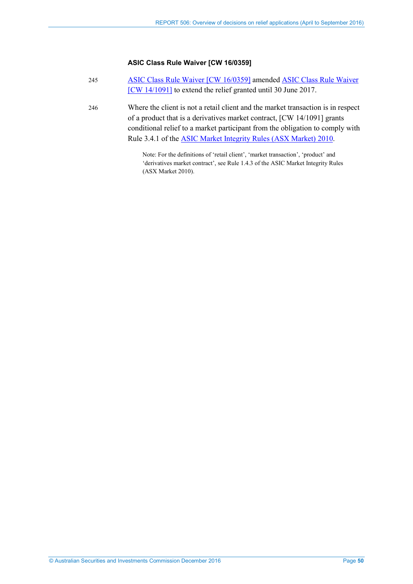### **ASIC Class Rule Waiver [CW 16/0359]**

| 245 | ASIC Class Rule Waiver [CW 16/0359] amended ASIC Class Rule Waiver |
|-----|--------------------------------------------------------------------|
|     | [CW 14/1091] to extend the relief granted until 30 June 2017.      |

246 Where the client is not a retail client and the market transaction is in respect of a product that is a derivatives market contract, [CW 14/1091] grants conditional relief to a market participant from the obligation to comply with Rule 3.4.1 of th[e ASIC Market Integrity Rules \(ASX Market\) 2010.](https://www.legislation.gov.au/Details/F2016C00249)

> Note: For the definitions of 'retail client', 'market transaction', 'product' and 'derivatives market contract', see Rule 1.4.3 of the ASIC Market Integrity Rules (ASX Market 2010).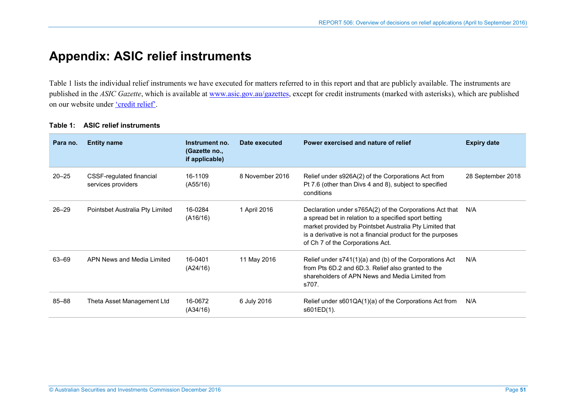# **Appendix: ASIC relief instruments**

[Table 1](#page-50-1) lists the individual relief instruments we have executed for matters referred to in this report and that are publicly available. The instruments are published in the *ASIC Gazette*, which is available at [www.asic.gov.au/gazettes,](http://www.asic.gov.au/gazettes) except for credit instruments (marked with asterisks), which are published on our website under ['credit](http://asic.gov.au/regulatory-resources/credit/credit-relief/) relief'.

<span id="page-50-0"></span>

| Para no.  | <b>Entity name</b>                             | Instrument no.<br>(Gazette no.,<br>if applicable) | Date executed   | Power exercised and nature of relief                                                                                                                                                                                                                                           | <b>Expiry date</b> |
|-----------|------------------------------------------------|---------------------------------------------------|-----------------|--------------------------------------------------------------------------------------------------------------------------------------------------------------------------------------------------------------------------------------------------------------------------------|--------------------|
| $20 - 25$ | CSSF-regulated financial<br>services providers | 16-1109<br>(A55/16)                               | 8 November 2016 | Relief under s926A(2) of the Corporations Act from<br>Pt 7.6 (other than Divs 4 and 8), subject to specified<br>conditions                                                                                                                                                     | 28 September 2018  |
| $26 - 29$ | Pointsbet Australia Pty Limited                | 16-0284<br>(A16/16)                               | 1 April 2016    | Declaration under s765A(2) of the Corporations Act that<br>a spread bet in relation to a specified sport betting<br>market provided by Pointsbet Australia Pty Limited that<br>is a derivative is not a financial product for the purposes<br>of Ch 7 of the Corporations Act. | N/A                |
| 63-69     | APN News and Media Limited                     | 16-0401<br>(A24/16)                               | 11 May 2016     | Relief under s741(1)(a) and (b) of the Corporations Act<br>from Pts 6D.2 and 6D.3. Relief also granted to the<br>shareholders of APN News and Media Limited from<br>s707.                                                                                                      | N/A                |
| 85-88     | Theta Asset Management Ltd                     | 16-0672<br>(A34/16)                               | 6 July 2016     | Relief under s601QA(1)(a) of the Corporations Act from<br>s601ED(1).                                                                                                                                                                                                           | N/A                |

### <span id="page-50-1"></span>**Table 1: ASIC relief instruments**